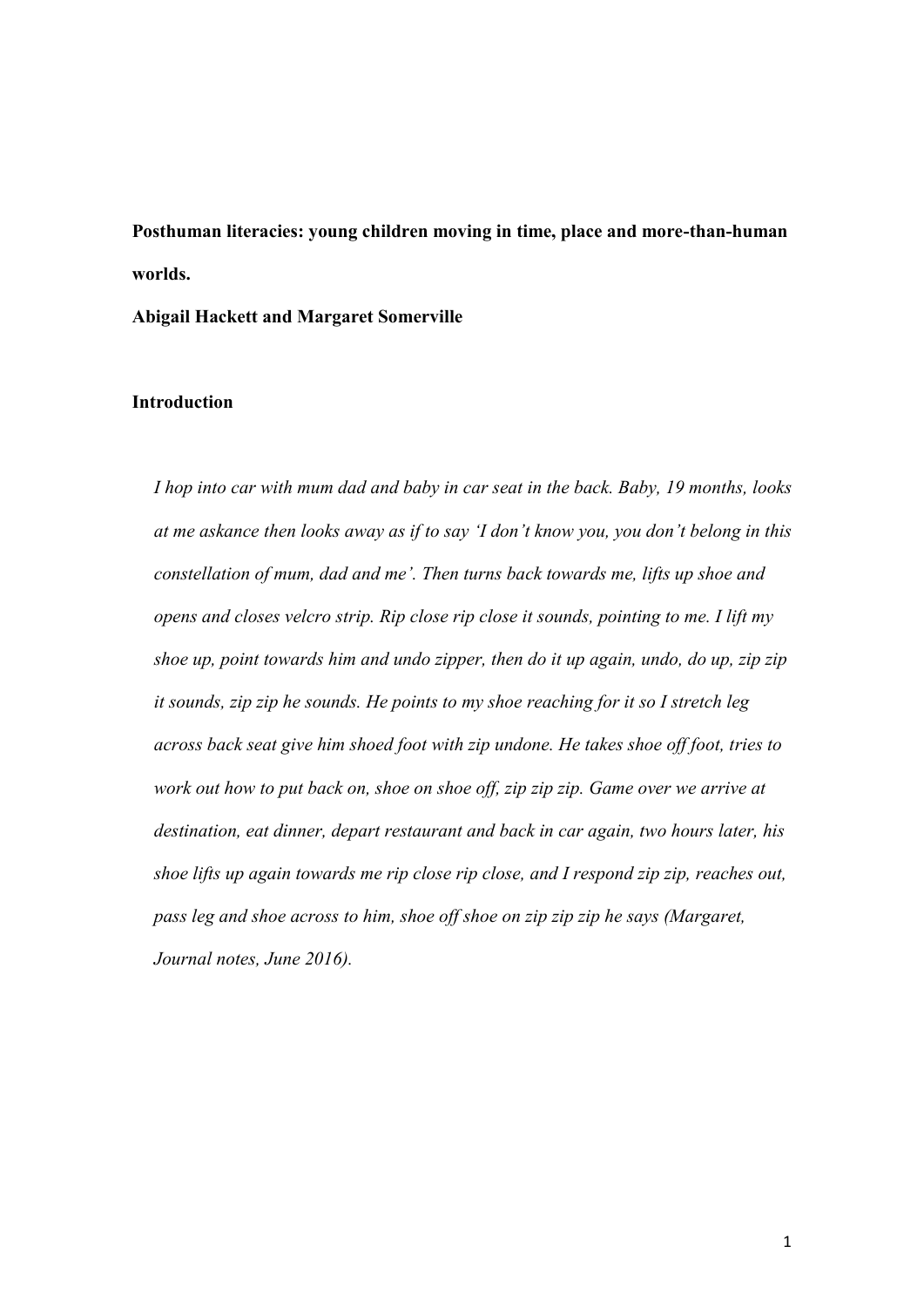**Posthuman literacies: young children moving in time, place and more-than-human worlds.** 

**Abigail Hackett and Margaret Somerville**

### **Introduction**

*I hop into car with mum dad and baby in car seat in the back. Baby, 19 months, looks at me askance then looks away as if to say 'I don't know you, you don't belong in this constellation of mum, dad and me'. Then turns back towards me, lifts up shoe and opens and closes velcro strip. Rip close rip close it sounds, pointing to me. I lift my shoe up, point towards him and undo zipper, then do it up again, undo, do up, zip zip it sounds, zip zip he sounds. He points to my shoe reaching for it so I stretch leg across back seat give him shoed foot with zip undone. He takes shoe off foot, tries to work out how to put back on, shoe on shoe off, zip zip zip. Game over we arrive at destination, eat dinner, depart restaurant and back in car again, two hours later, his shoe lifts up again towards me rip close rip close, and I respond zip zip, reaches out, pass leg and shoe across to him, shoe off shoe on zip zip zip he says (Margaret, Journal notes, June 2016).*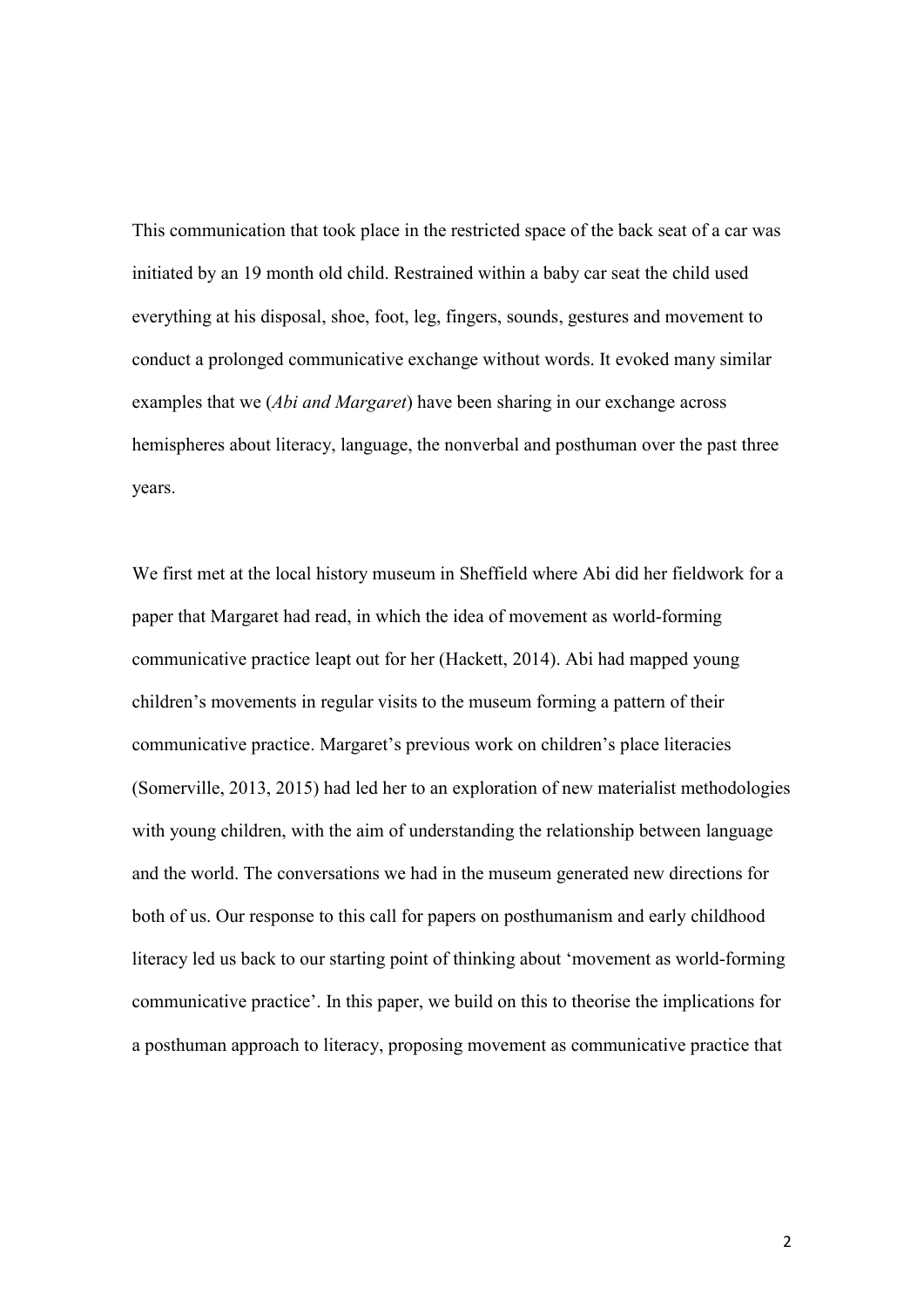This communication that took place in the restricted space of the back seat of a car was initiated by an 19 month old child. Restrained within a baby car seat the child used everything at his disposal, shoe, foot, leg, fingers, sounds, gestures and movement to conduct a prolonged communicative exchange without words. It evoked many similar examples that we (*Abi and Margaret*) have been sharing in our exchange across hemispheres about literacy, language, the nonverbal and posthuman over the past three years.

We first met at the local history museum in Sheffield where Abi did her fieldwork for a paper that Margaret had read, in which the idea of movement as world-forming communicative practice leapt out for her (Hackett, 2014). Abi had mapped young children's movements in regular visits to the museum forming a pattern of their communicative practice. Margaret's previous work on children's place literacies (Somerville, 2013, 2015) had led her to an exploration of new materialist methodologies with young children, with the aim of understanding the relationship between language and the world. The conversations we had in the museum generated new directions for both of us. Our response to this call for papers on posthumanism and early childhood literacy led us back to our starting point of thinking about 'movement as world-forming communicative practice'. In this paper, we build on this to theorise the implications for a posthuman approach to literacy, proposing movement as communicative practice that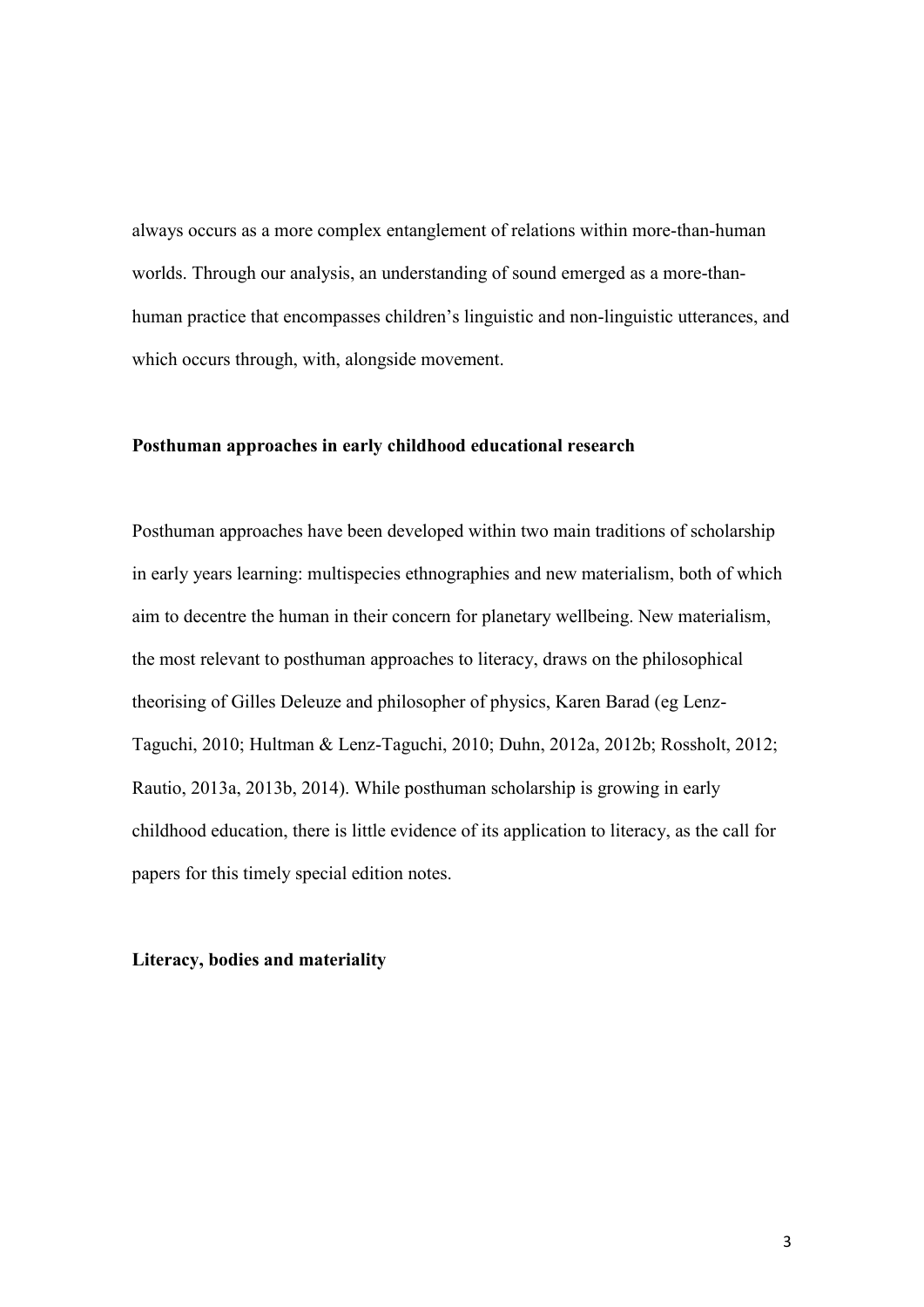always occurs as a more complex entanglement of relations within more-than-human worlds. Through our analysis, an understanding of sound emerged as a more-thanhuman practice that encompasses children's linguistic and non-linguistic utterances, and which occurs through, with, alongside movement.

#### **Posthuman approaches in early childhood educational research**

Posthuman approaches have been developed within two main traditions of scholarship in early years learning: multispecies ethnographies and new materialism, both of which aim to decentre the human in their concern for planetary wellbeing. New materialism, the most relevant to posthuman approaches to literacy, draws on the philosophical theorising of Gilles Deleuze and philosopher of physics, Karen Barad (eg Lenz-Taguchi, 2010; Hultman & Lenz-Taguchi, 2010; Duhn, 2012a, 2012b; Rossholt, 2012; Rautio, 2013a, 2013b, 2014). While posthuman scholarship is growing in early childhood education, there is little evidence of its application to literacy, as the call for papers for this timely special edition notes.

# **Literacy, bodies and materiality**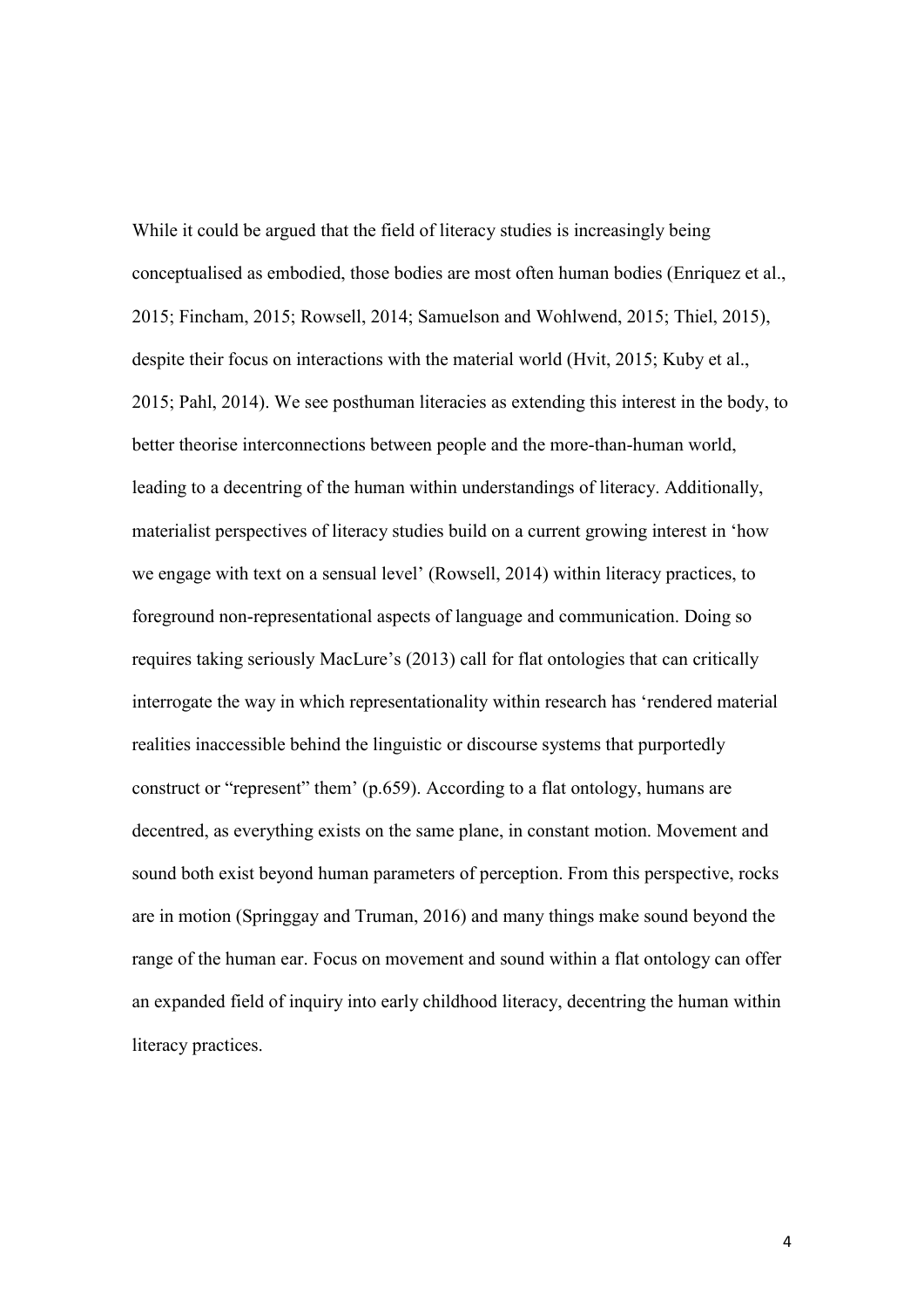While it could be argued that the field of literacy studies is increasingly being conceptualised as embodied, those bodies are most often human bodies (Enriquez et al., 2015; Fincham, 2015; Rowsell, 2014; Samuelson and Wohlwend, 2015; Thiel, 2015), despite their focus on interactions with the material world (Hvit, 2015; Kuby et al., 2015; Pahl, 2014). We see posthuman literacies as extending this interest in the body, to better theorise interconnections between people and the more-than-human world, leading to a decentring of the human within understandings of literacy. Additionally, materialist perspectives of literacy studies build on a current growing interest in 'how we engage with text on a sensual level' (Rowsell, 2014) within literacy practices, to foreground non-representational aspects of language and communication. Doing so requires taking seriously MacLure's (2013) call for flat ontologies that can critically interrogate the way in which representationality within research has 'rendered material realities inaccessible behind the linguistic or discourse systems that purportedly construct or "represent" them' (p.659). According to a flat ontology, humans are decentred, as everything exists on the same plane, in constant motion. Movement and sound both exist beyond human parameters of perception. From this perspective, rocks are in motion (Springgay and Truman, 2016) and many things make sound beyond the range of the human ear. Focus on movement and sound within a flat ontology can offer an expanded field of inquiry into early childhood literacy, decentring the human within literacy practices.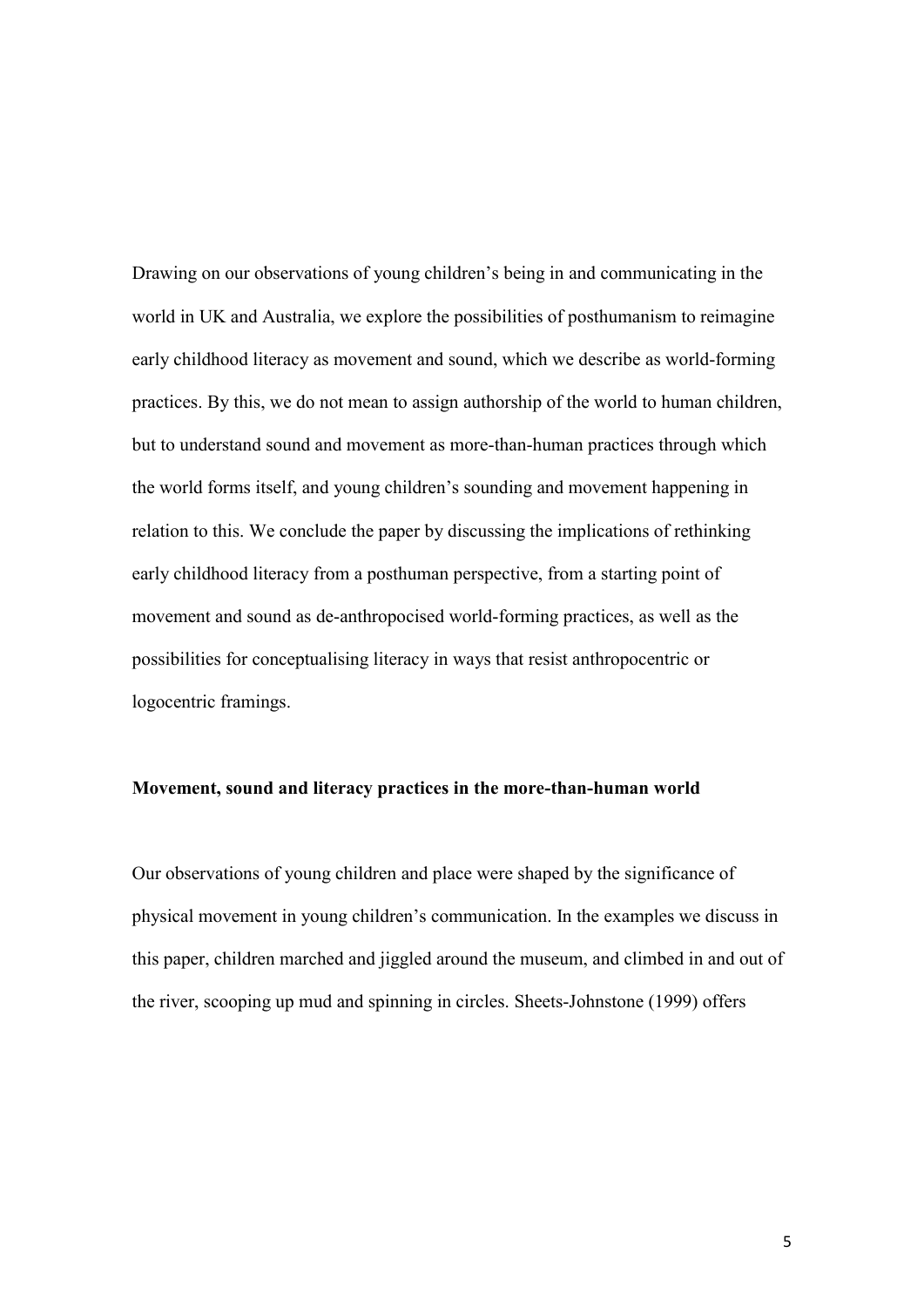Drawing on our observations of young children's being in and communicating in the world in UK and Australia, we explore the possibilities of posthumanism to reimagine early childhood literacy as movement and sound, which we describe as world-forming practices. By this, we do not mean to assign authorship of the world to human children, but to understand sound and movement as more-than-human practices through which the world forms itself, and young children's sounding and movement happening in relation to this. We conclude the paper by discussing the implications of rethinking early childhood literacy from a posthuman perspective, from a starting point of movement and sound as de-anthropocised world-forming practices, as well as the possibilities for conceptualising literacy in ways that resist anthropocentric or logocentric framings.

### **Movement, sound and literacy practices in the more-than-human world**

Our observations of young children and place were shaped by the significance of physical movement in young children's communication. In the examples we discuss in this paper, children marched and jiggled around the museum, and climbed in and out of the river, scooping up mud and spinning in circles. Sheets-Johnstone (1999) offers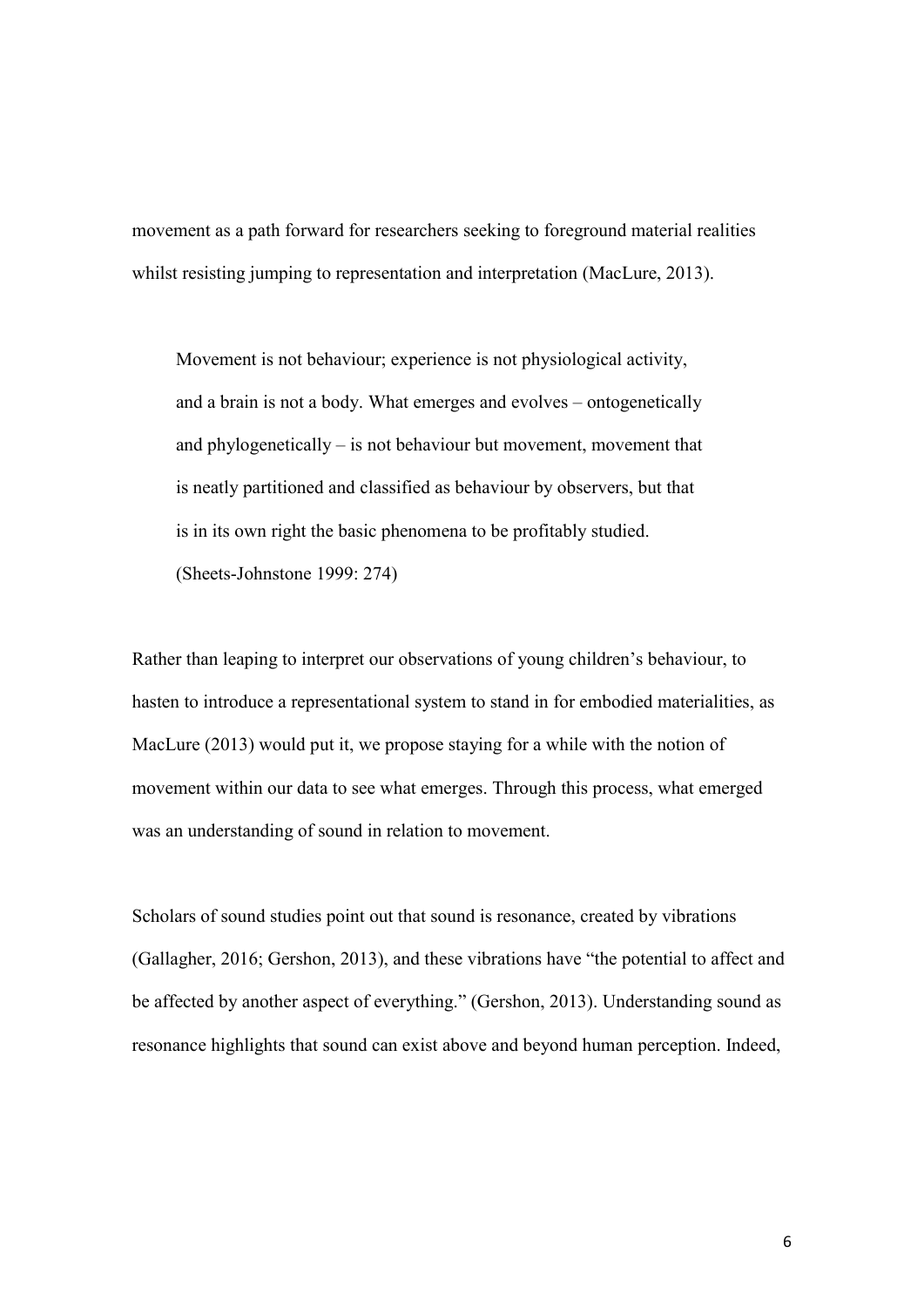movement as a path forward for researchers seeking to foreground material realities whilst resisting jumping to representation and interpretation (MacLure, 2013).

Movement is not behaviour; experience is not physiological activity, and a brain is not a body. What emerges and evolves – ontogenetically and phylogenetically – is not behaviour but movement, movement that is neatly partitioned and classified as behaviour by observers, but that is in its own right the basic phenomena to be profitably studied. (Sheets-Johnstone 1999: 274)

Rather than leaping to interpret our observations of young children's behaviour, to hasten to introduce a representational system to stand in for embodied materialities, as MacLure (2013) would put it, we propose staying for a while with the notion of movement within our data to see what emerges. Through this process, what emerged was an understanding of sound in relation to movement.

Scholars of sound studies point out that sound is resonance, created by vibrations (Gallagher, 2016; Gershon, 2013), and these vibrations have "the potential to affect and be affected by another aspect of everything." (Gershon, 2013). Understanding sound as resonance highlights that sound can exist above and beyond human perception. Indeed,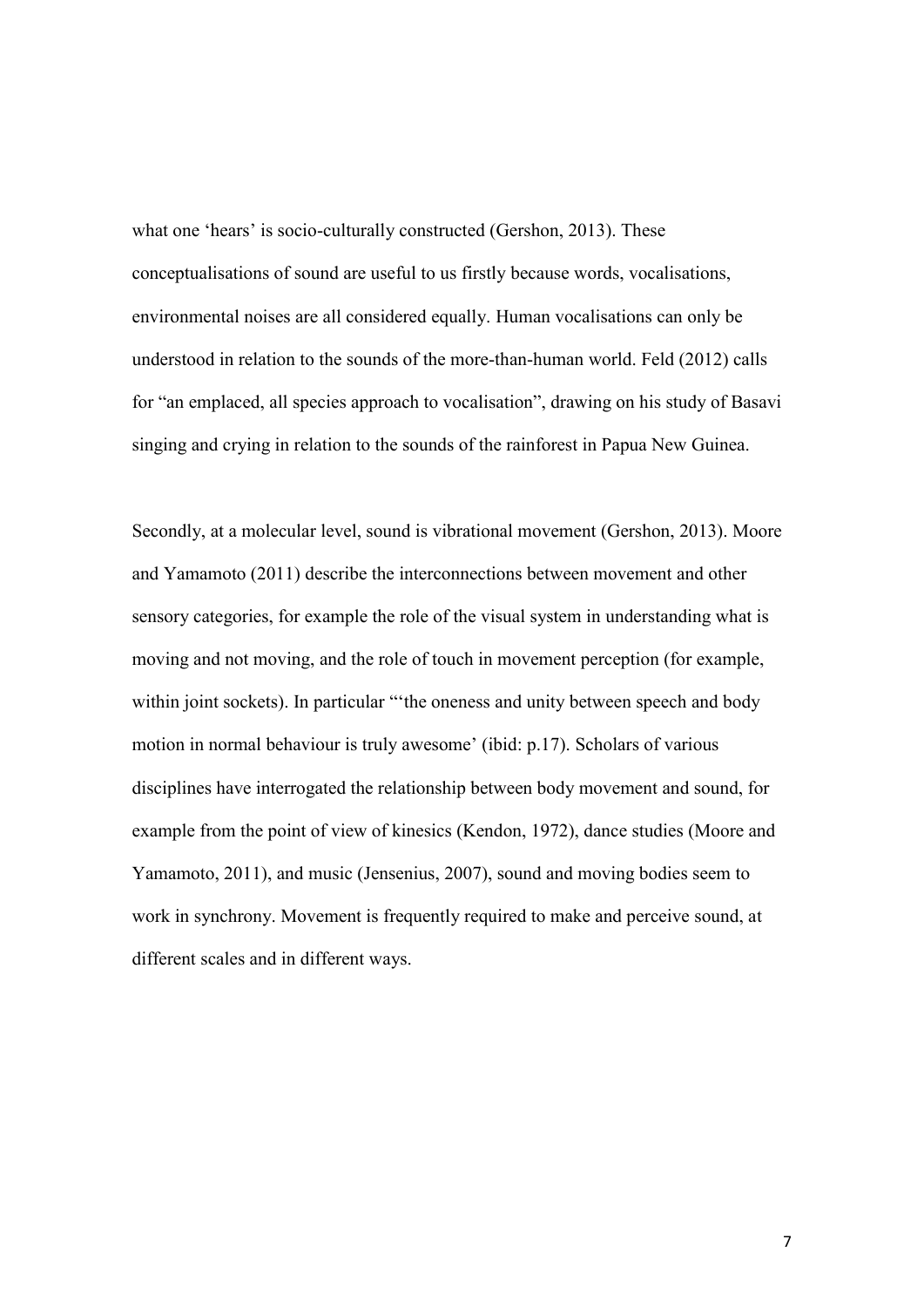what one 'hears' is socio-culturally constructed (Gershon, 2013). These conceptualisations of sound are useful to us firstly because words, vocalisations, environmental noises are all considered equally. Human vocalisations can only be understood in relation to the sounds of the more-than-human world. Feld (2012) calls for "an emplaced, all species approach to vocalisation", drawing on his study of Basavi singing and crying in relation to the sounds of the rainforest in Papua New Guinea.

Secondly, at a molecular level, sound is vibrational movement (Gershon, 2013). Moore and Yamamoto (2011) describe the interconnections between movement and other sensory categories, for example the role of the visual system in understanding what is moving and not moving, and the role of touch in movement perception (for example, within joint sockets). In particular "the oneness and unity between speech and body motion in normal behaviour is truly awesome' (ibid: p.17). Scholars of various disciplines have interrogated the relationship between body movement and sound, for example from the point of view of kinesics (Kendon, 1972), dance studies (Moore and Yamamoto, 2011), and music (Jensenius, 2007), sound and moving bodies seem to work in synchrony. Movement is frequently required to make and perceive sound, at different scales and in different ways.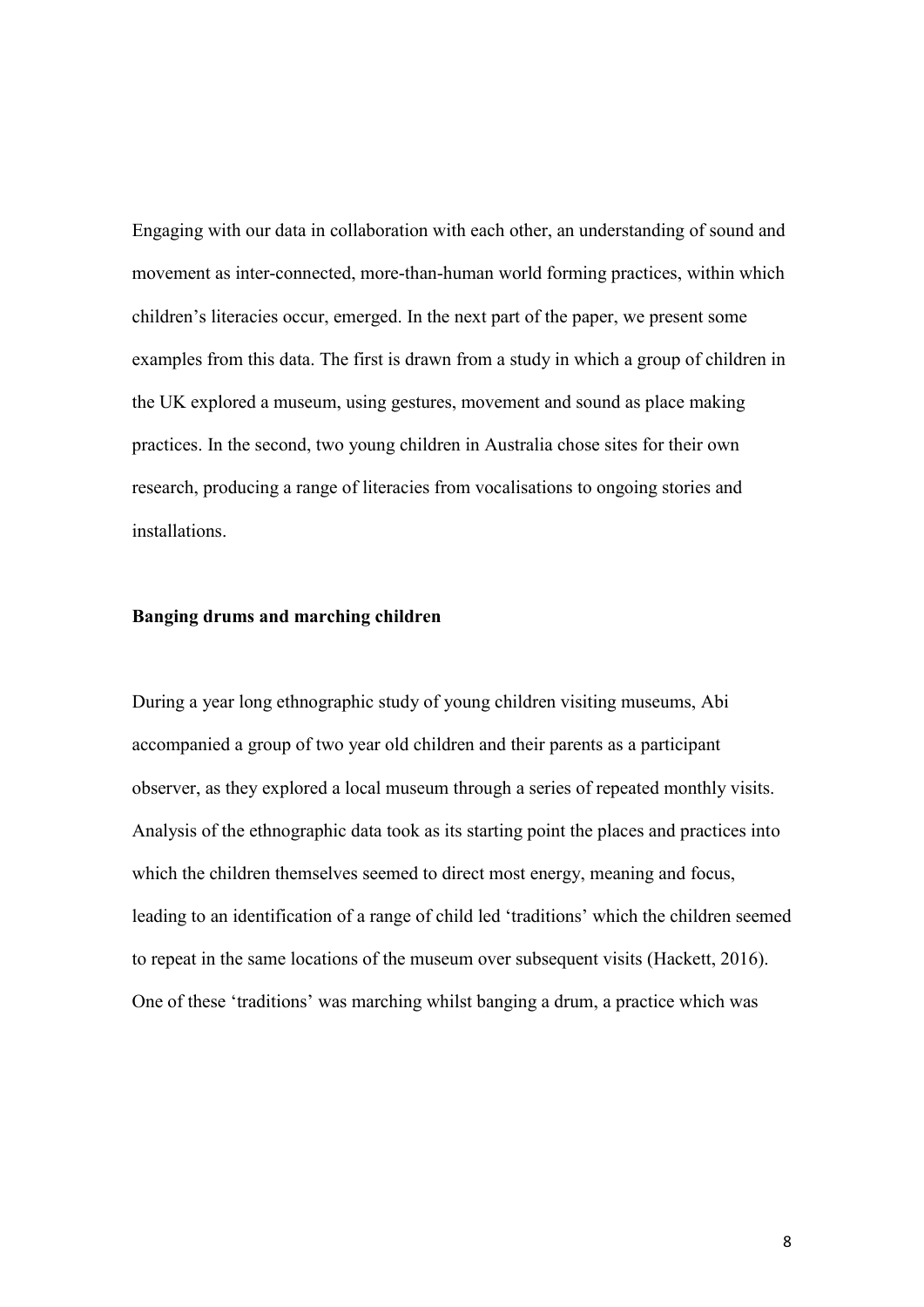Engaging with our data in collaboration with each other, an understanding of sound and movement as inter-connected, more-than-human world forming practices, within which children's literacies occur, emerged. In the next part of the paper, we present some examples from this data. The first is drawn from a study in which a group of children in the UK explored a museum, using gestures, movement and sound as place making practices. In the second, two young children in Australia chose sites for their own research, producing a range of literacies from vocalisations to ongoing stories and installations.

### **Banging drums and marching children**

During a year long ethnographic study of young children visiting museums, Abi accompanied a group of two year old children and their parents as a participant observer, as they explored a local museum through a series of repeated monthly visits. Analysis of the ethnographic data took as its starting point the places and practices into which the children themselves seemed to direct most energy, meaning and focus, leading to an identification of a range of child led 'traditions' which the children seemed to repeat in the same locations of the museum over subsequent visits (Hackett, 2016). One of these 'traditions' was marching whilst banging a drum, a practice which was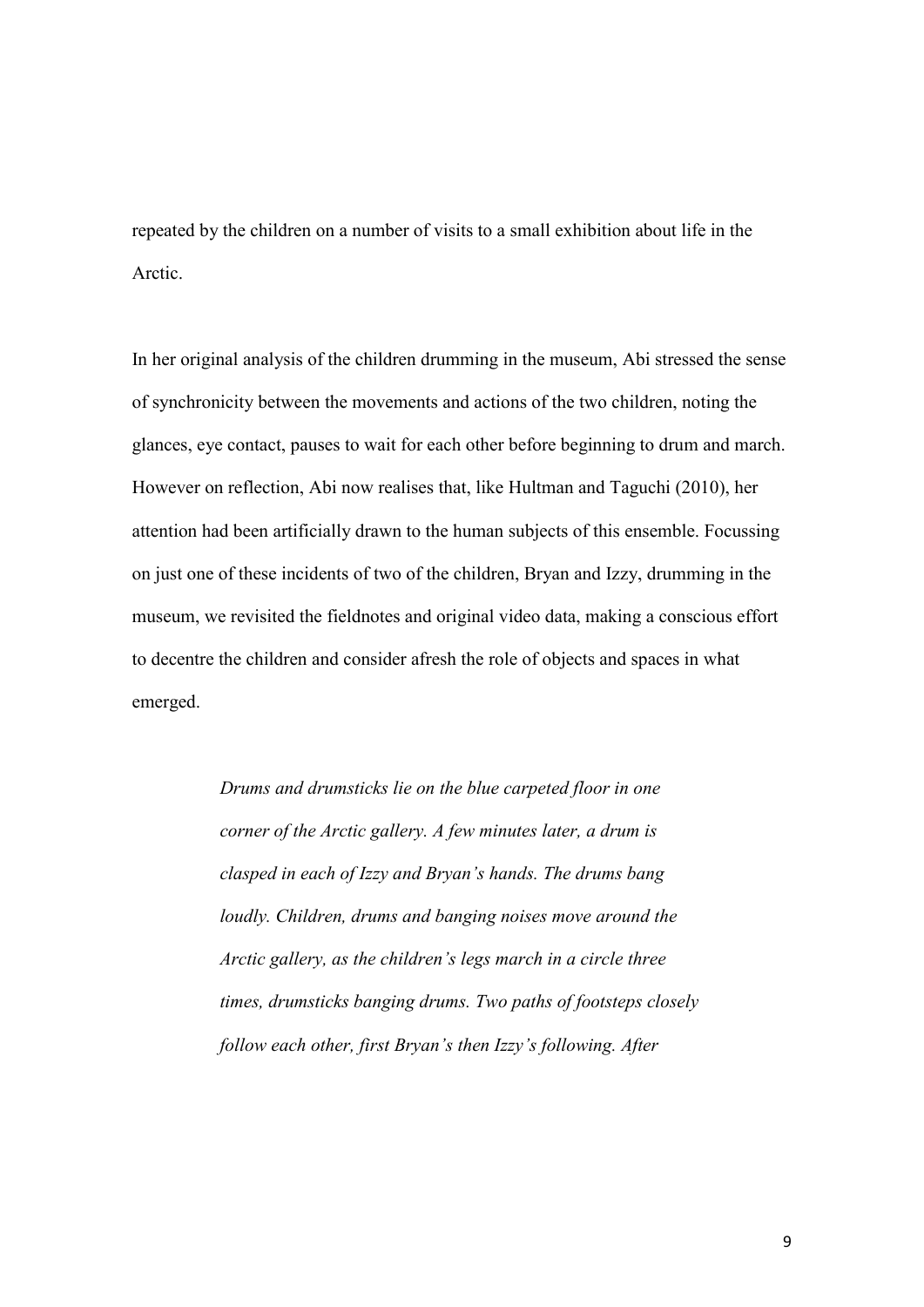repeated by the children on a number of visits to a small exhibition about life in the Arctic.

In her original analysis of the children drumming in the museum, Abi stressed the sense of synchronicity between the movements and actions of the two children, noting the glances, eye contact, pauses to wait for each other before beginning to drum and march. However on reflection, Abi now realises that, like Hultman and Taguchi (2010), her attention had been artificially drawn to the human subjects of this ensemble. Focussing on just one of these incidents of two of the children, Bryan and Izzy, drumming in the museum, we revisited the fieldnotes and original video data, making a conscious effort to decentre the children and consider afresh the role of objects and spaces in what emerged.

> *Drums and drumsticks lie on the blue carpeted floor in one corner of the Arctic gallery. A few minutes later, a drum is clasped in each of Izzy and Bryan's hands. The drums bang loudly. Children, drums and banging noises move around the Arctic gallery, as the children's legs march in a circle three times, drumsticks banging drums. Two paths of footsteps closely follow each other, first Bryan's then Izzy's following. After*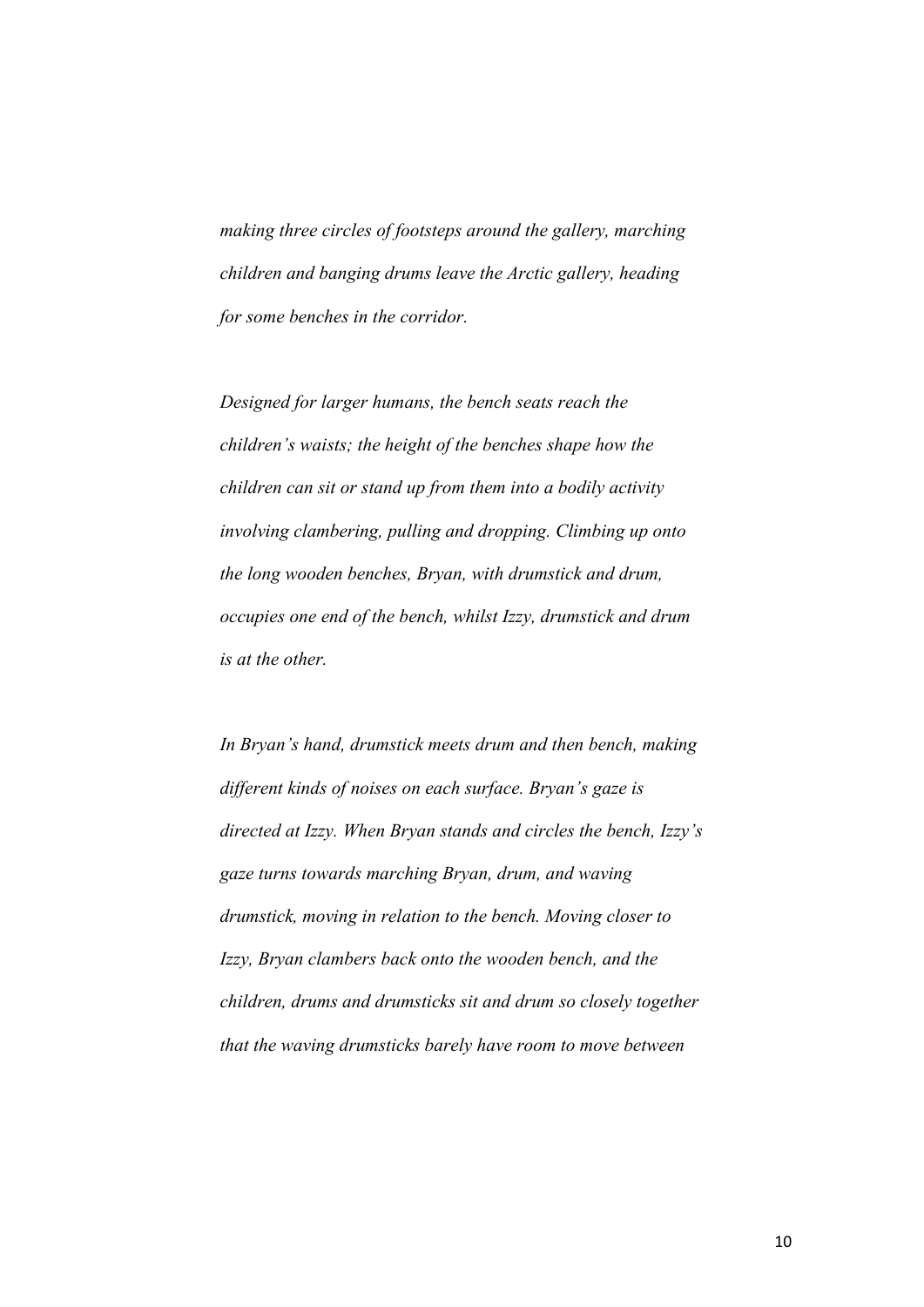*making three circles of footsteps around the gallery, marching children and banging drums leave the Arctic gallery, heading for some benches in the corridor.* 

*Designed for larger humans, the bench seats reach the children's waists; the height of the benches shape how the children can sit or stand up from them into a bodily activity involving clambering, pulling and dropping. Climbing up onto the long wooden benches, Bryan, with drumstick and drum, occupies one end of the bench, whilst Izzy, drumstick and drum is at the other.* 

*In Bryan's hand, drumstick meets drum and then bench, making different kinds of noises on each surface. Bryan's gaze is directed at Izzy. When Bryan stands and circles the bench, Izzy's gaze turns towards marching Bryan, drum, and waving drumstick, moving in relation to the bench. Moving closer to Izzy, Bryan clambers back onto the wooden bench, and the children, drums and drumsticks sit and drum so closely together that the waving drumsticks barely have room to move between*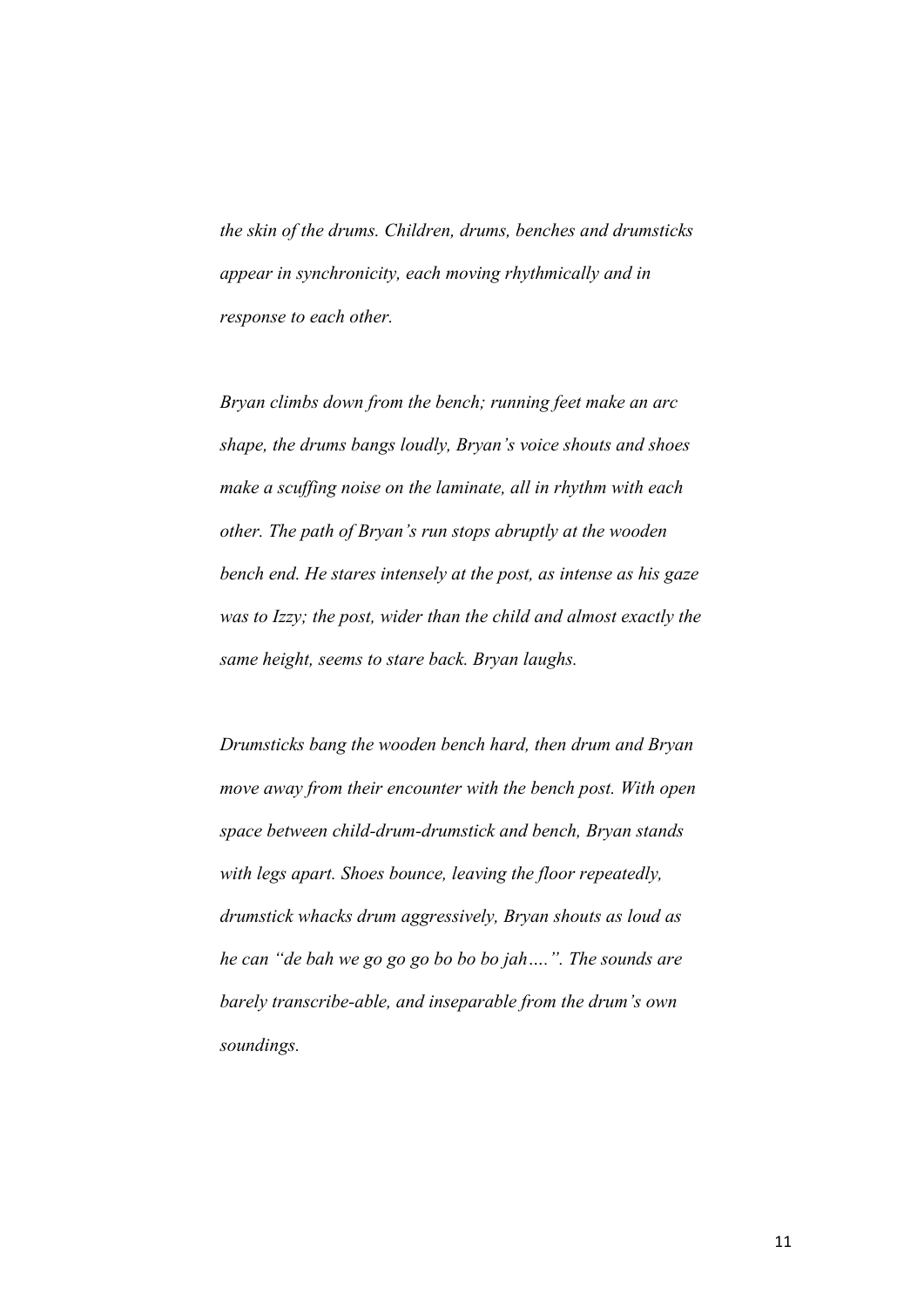*the skin of the drums. Children, drums, benches and drumsticks appear in synchronicity, each moving rhythmically and in response to each other.*

*Bryan climbs down from the bench; running feet make an arc shape, the drums bangs loudly, Bryan's voice shouts and shoes make a scuffing noise on the laminate, all in rhythm with each other. The path of Bryan's run stops abruptly at the wooden bench end. He stares intensely at the post, as intense as his gaze was to Izzy; the post, wider than the child and almost exactly the same height, seems to stare back. Bryan laughs.* 

*Drumsticks bang the wooden bench hard, then drum and Bryan move away from their encounter with the bench post. With open space between child-drum-drumstick and bench, Bryan stands with legs apart. Shoes bounce, leaving the floor repeatedly, drumstick whacks drum aggressively, Bryan shouts as loud as he can "de bah we go go go bo bo bo jah….". The sounds are barely transcribe-able, and inseparable from the drum's own soundings.*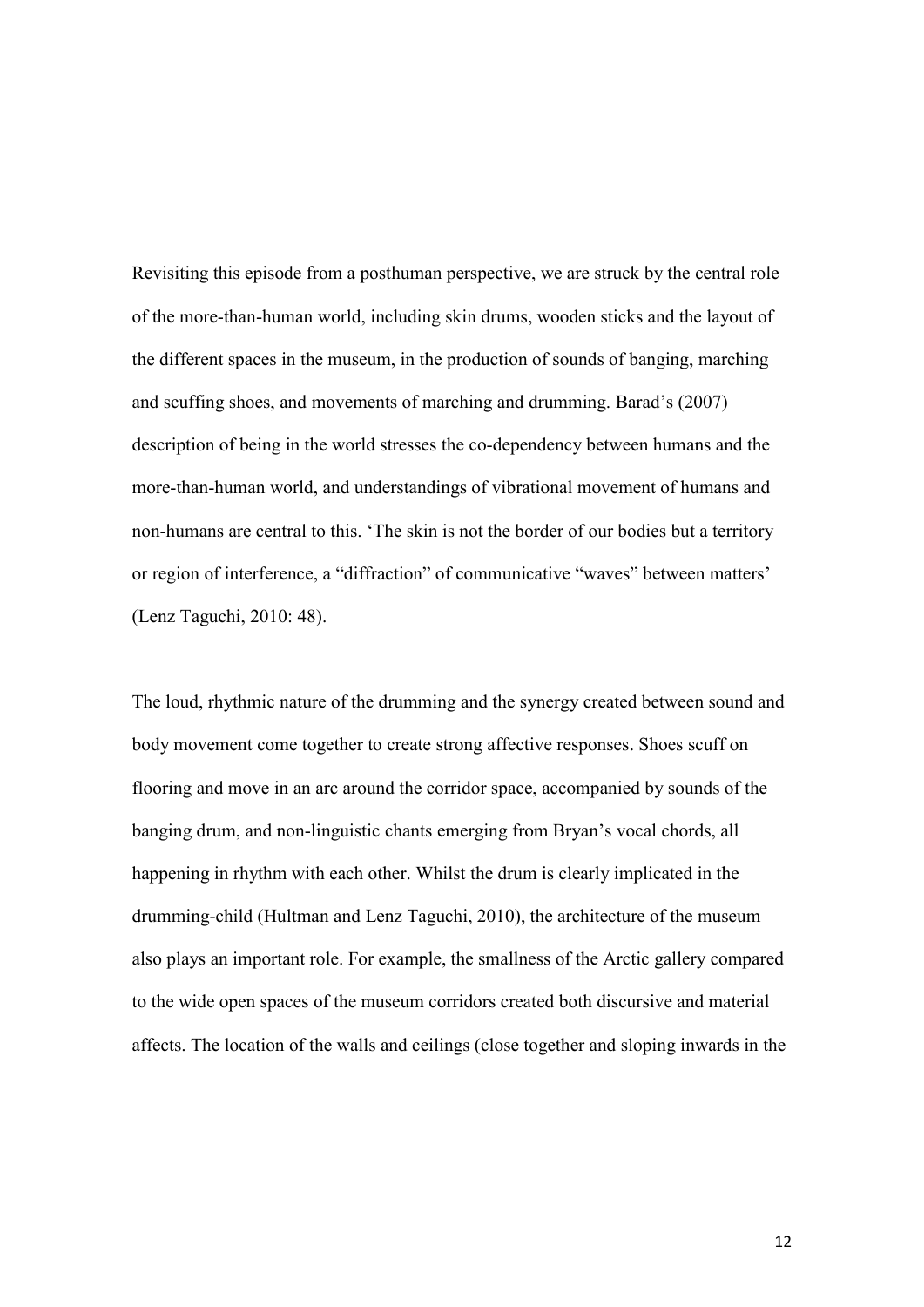Revisiting this episode from a posthuman perspective, we are struck by the central role of the more-than-human world, including skin drums, wooden sticks and the layout of the different spaces in the museum, in the production of sounds of banging, marching and scuffing shoes, and movements of marching and drumming. Barad's (2007) description of being in the world stresses the co-dependency between humans and the more-than-human world, and understandings of vibrational movement of humans and non-humans are central to this. 'The skin is not the border of our bodies but a territory or region of interference, a "diffraction" of communicative "waves" between matters' (Lenz Taguchi, 2010: 48).

The loud, rhythmic nature of the drumming and the synergy created between sound and body movement come together to create strong affective responses. Shoes scuff on flooring and move in an arc around the corridor space, accompanied by sounds of the banging drum, and non-linguistic chants emerging from Bryan's vocal chords, all happening in rhythm with each other. Whilst the drum is clearly implicated in the drumming-child (Hultman and Lenz Taguchi, 2010), the architecture of the museum also plays an important role. For example, the smallness of the Arctic gallery compared to the wide open spaces of the museum corridors created both discursive and material affects. The location of the walls and ceilings (close together and sloping inwards in the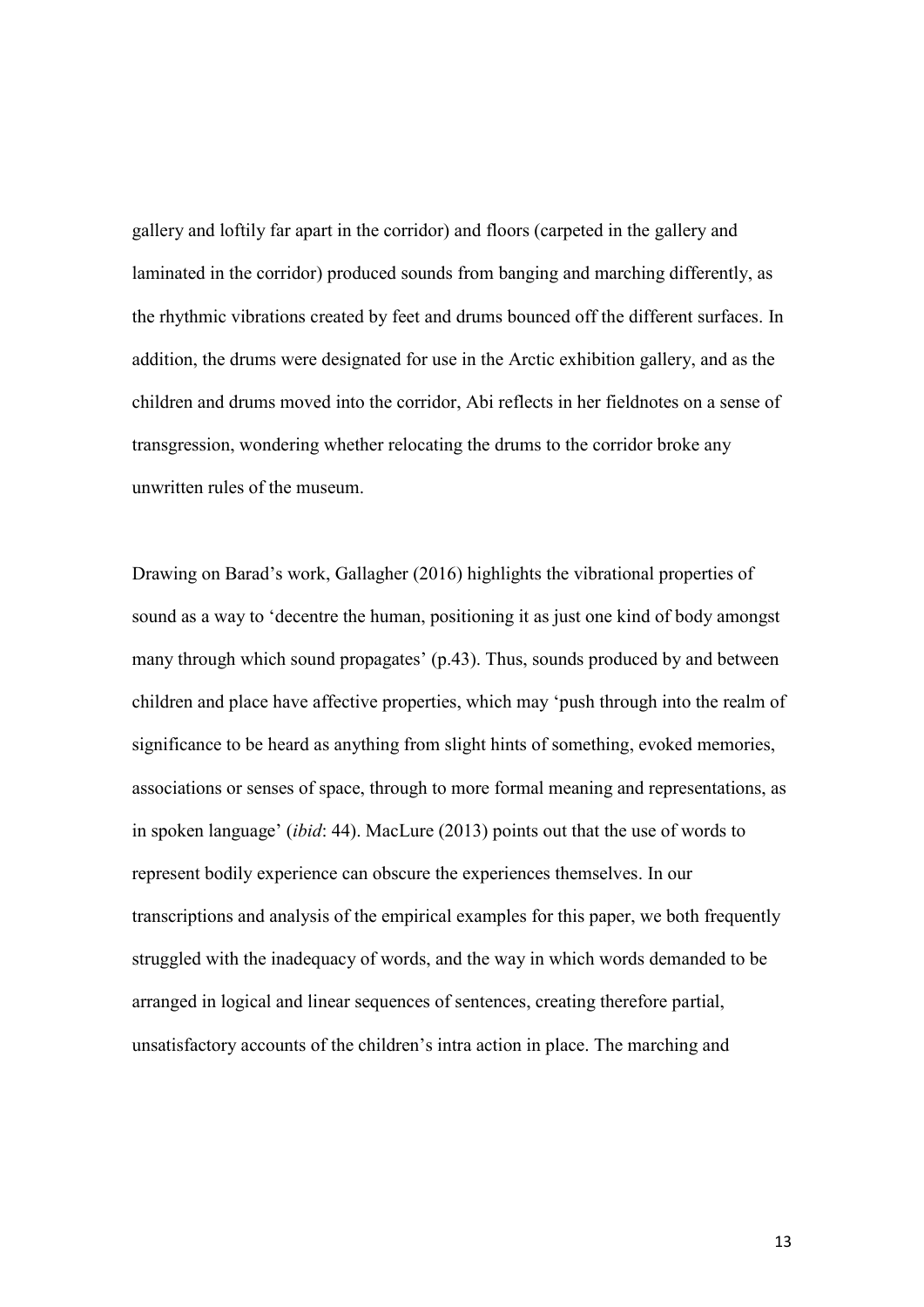gallery and loftily far apart in the corridor) and floors (carpeted in the gallery and laminated in the corridor) produced sounds from banging and marching differently, as the rhythmic vibrations created by feet and drums bounced off the different surfaces. In addition, the drums were designated for use in the Arctic exhibition gallery, and as the children and drums moved into the corridor, Abi reflects in her fieldnotes on a sense of transgression, wondering whether relocating the drums to the corridor broke any unwritten rules of the museum.

Drawing on Barad's work, Gallagher (2016) highlights the vibrational properties of sound as a way to 'decentre the human, positioning it as just one kind of body amongst many through which sound propagates' (p.43). Thus, sounds produced by and between children and place have affective properties, which may 'push through into the realm of significance to be heard as anything from slight hints of something, evoked memories, associations or senses of space, through to more formal meaning and representations, as in spoken language' (*ibid*: 44). MacLure (2013) points out that the use of words to represent bodily experience can obscure the experiences themselves. In our transcriptions and analysis of the empirical examples for this paper, we both frequently struggled with the inadequacy of words, and the way in which words demanded to be arranged in logical and linear sequences of sentences, creating therefore partial, unsatisfactory accounts of the children's intra action in place. The marching and

13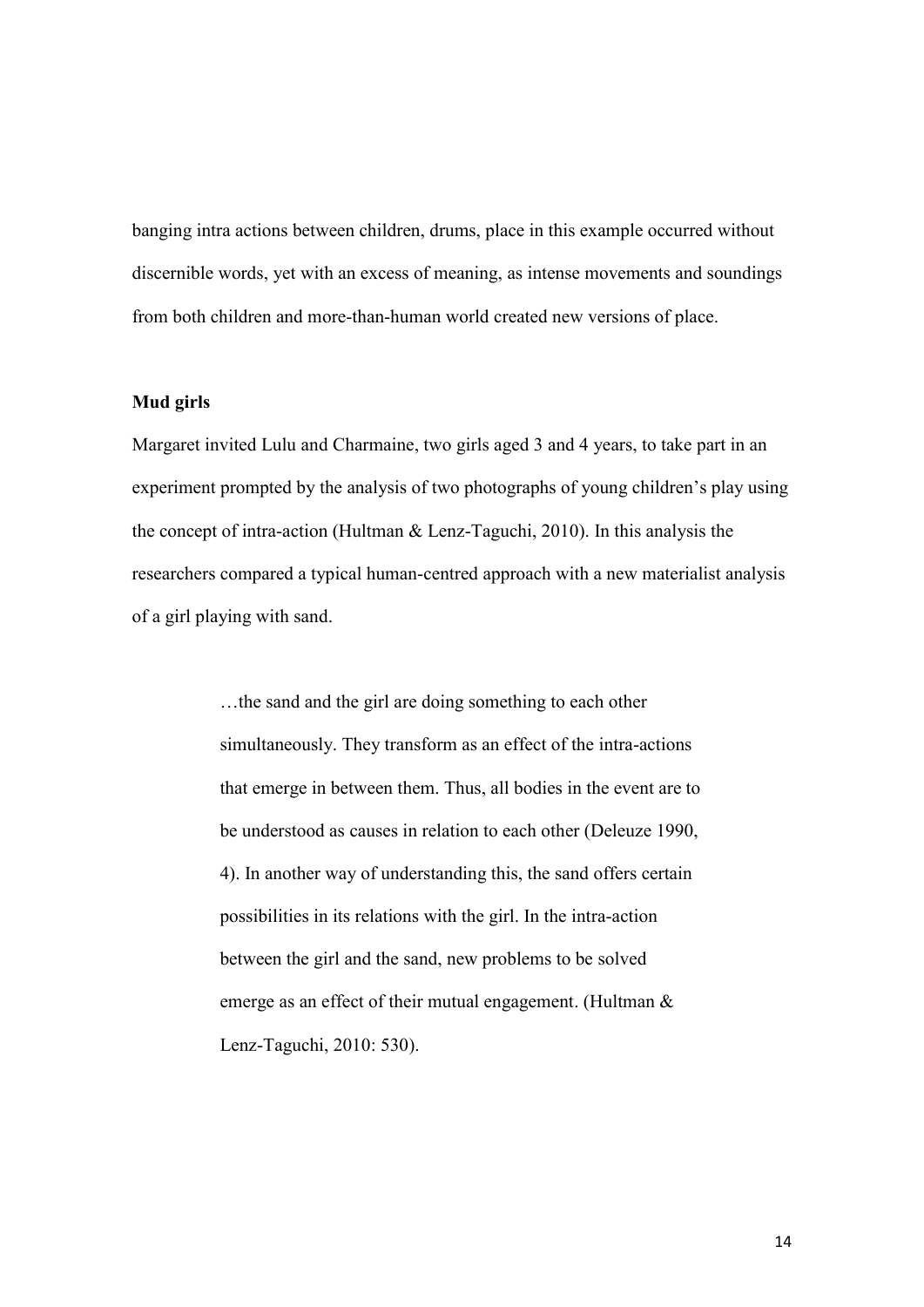banging intra actions between children, drums, place in this example occurred without discernible words, yet with an excess of meaning, as intense movements and soundings from both children and more-than-human world created new versions of place.

## **Mud girls**

Margaret invited Lulu and Charmaine, two girls aged 3 and 4 years, to take part in an experiment prompted by the analysis of two photographs of young children's play using the concept of intra-action (Hultman & Lenz-Taguchi, 2010). In this analysis the researchers compared a typical human-centred approach with a new materialist analysis of a girl playing with sand.

> …the sand and the girl are doing something to each other simultaneously. They transform as an effect of the intra-actions that emerge in between them. Thus, all bodies in the event are to be understood as causes in relation to each other (Deleuze 1990, 4). In another way of understanding this, the sand offers certain possibilities in its relations with the girl. In the intra-action between the girl and the sand, new problems to be solved emerge as an effect of their mutual engagement. (Hultman & Lenz-Taguchi, 2010: 530).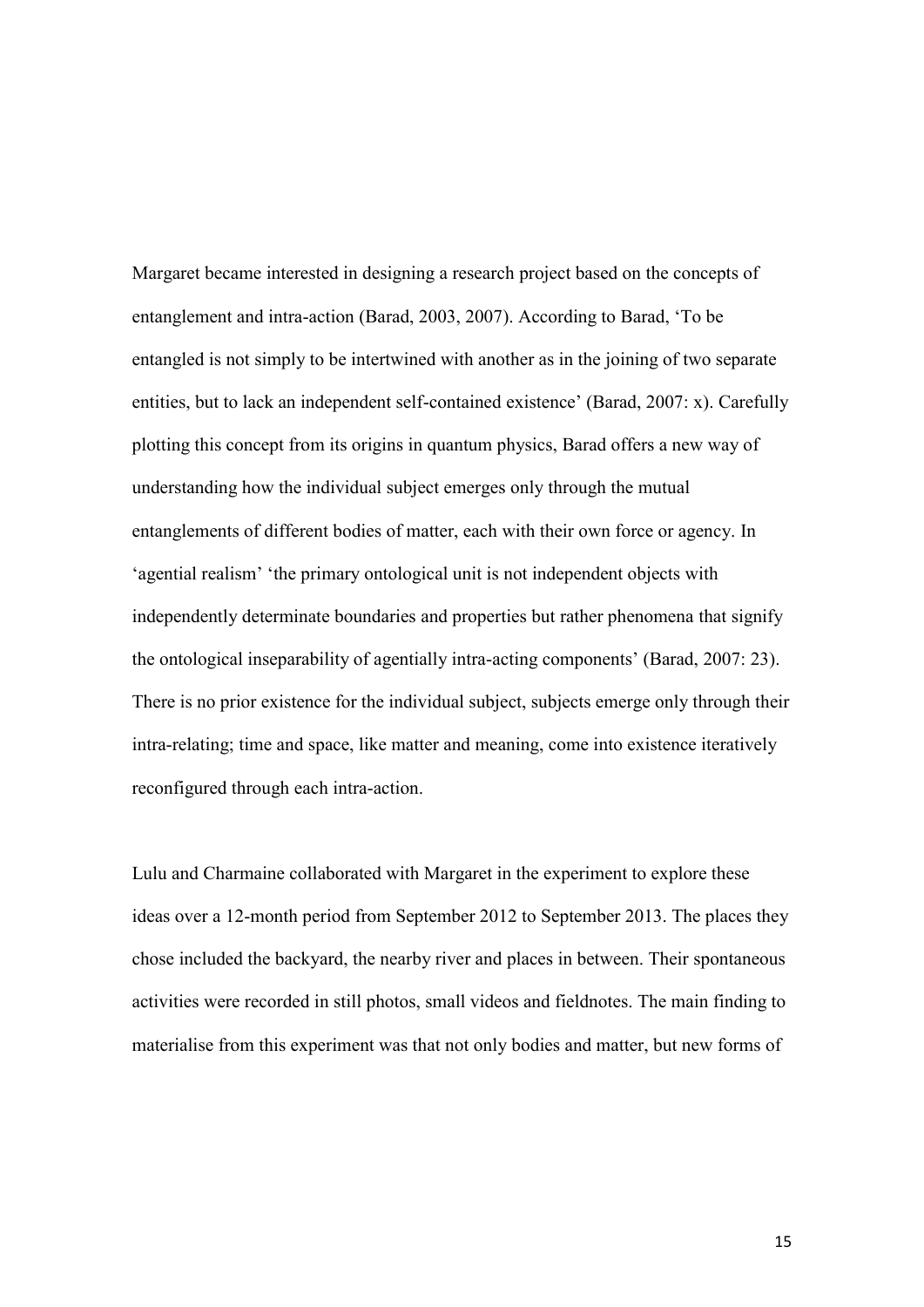Margaret became interested in designing a research project based on the concepts of entanglement and intra-action (Barad, 2003, 2007). According to Barad, 'To be entangled is not simply to be intertwined with another as in the joining of two separate entities, but to lack an independent self-contained existence' (Barad, 2007: x). Carefully plotting this concept from its origins in quantum physics, Barad offers a new way of understanding how the individual subject emerges only through the mutual entanglements of different bodies of matter, each with their own force or agency. In 'agential realism' 'the primary ontological unit is not independent objects with independently determinate boundaries and properties but rather phenomena that signify the ontological inseparability of agentially intra-acting components' (Barad, 2007: 23). There is no prior existence for the individual subject, subjects emerge only through their intra-relating; time and space, like matter and meaning, come into existence iteratively reconfigured through each intra-action.

Lulu and Charmaine collaborated with Margaret in the experiment to explore these ideas over a 12-month period from September 2012 to September 2013. The places they chose included the backyard, the nearby river and places in between. Their spontaneous activities were recorded in still photos, small videos and fieldnotes. The main finding to materialise from this experiment was that not only bodies and matter, but new forms of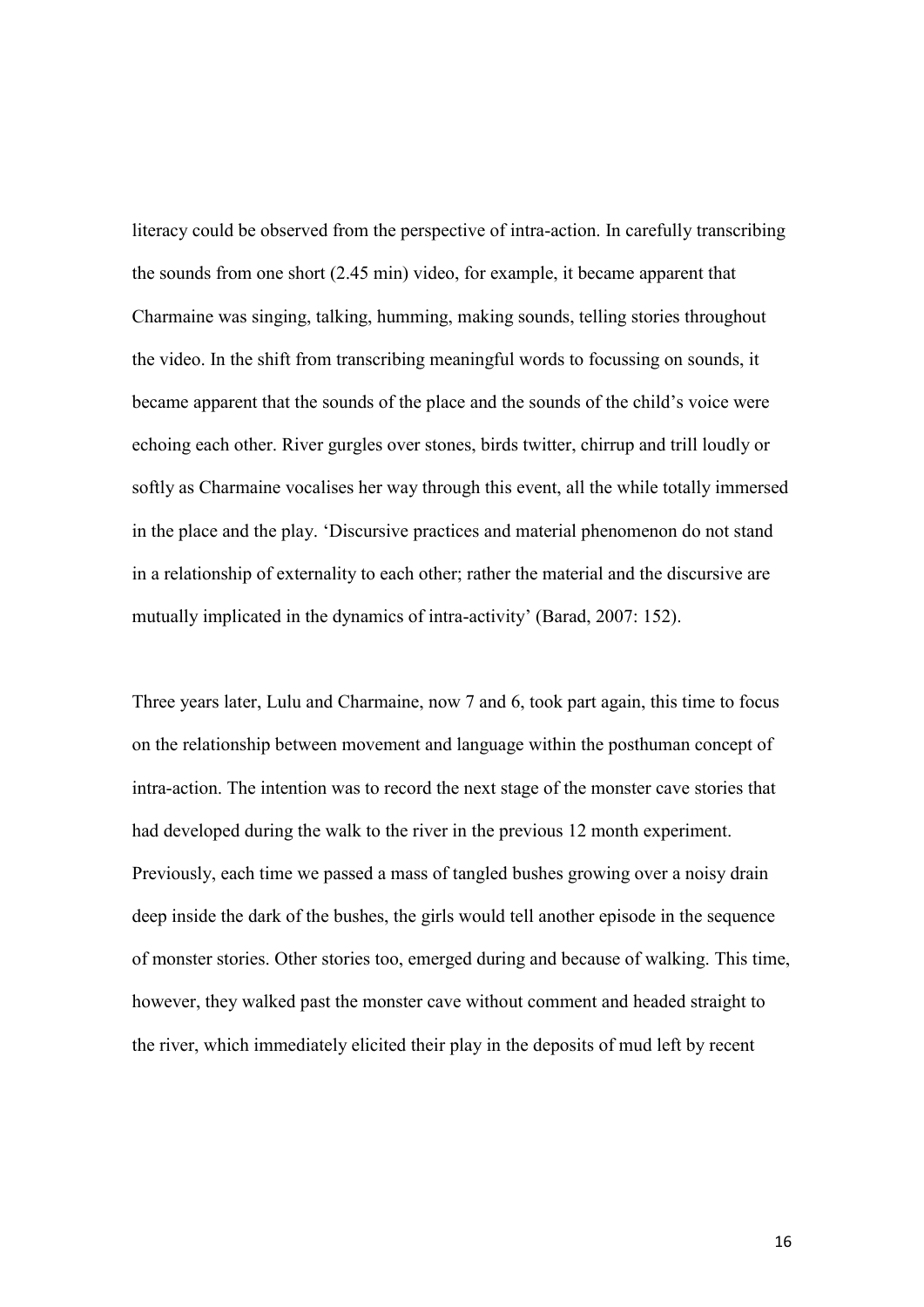literacy could be observed from the perspective of intra-action. In carefully transcribing the sounds from one short (2.45 min) video, for example, it became apparent that Charmaine was singing, talking, humming, making sounds, telling stories throughout the video. In the shift from transcribing meaningful words to focussing on sounds, it became apparent that the sounds of the place and the sounds of the child's voice were echoing each other. River gurgles over stones, birds twitter, chirrup and trill loudly or softly as Charmaine vocalises her way through this event, all the while totally immersed in the place and the play. 'Discursive practices and material phenomenon do not stand in a relationship of externality to each other; rather the material and the discursive are mutually implicated in the dynamics of intra-activity' (Barad, 2007: 152).

Three years later, Lulu and Charmaine, now 7 and 6, took part again, this time to focus on the relationship between movement and language within the posthuman concept of intra-action. The intention was to record the next stage of the monster cave stories that had developed during the walk to the river in the previous 12 month experiment. Previously, each time we passed a mass of tangled bushes growing over a noisy drain deep inside the dark of the bushes, the girls would tell another episode in the sequence of monster stories. Other stories too, emerged during and because of walking. This time, however, they walked past the monster cave without comment and headed straight to the river, which immediately elicited their play in the deposits of mud left by recent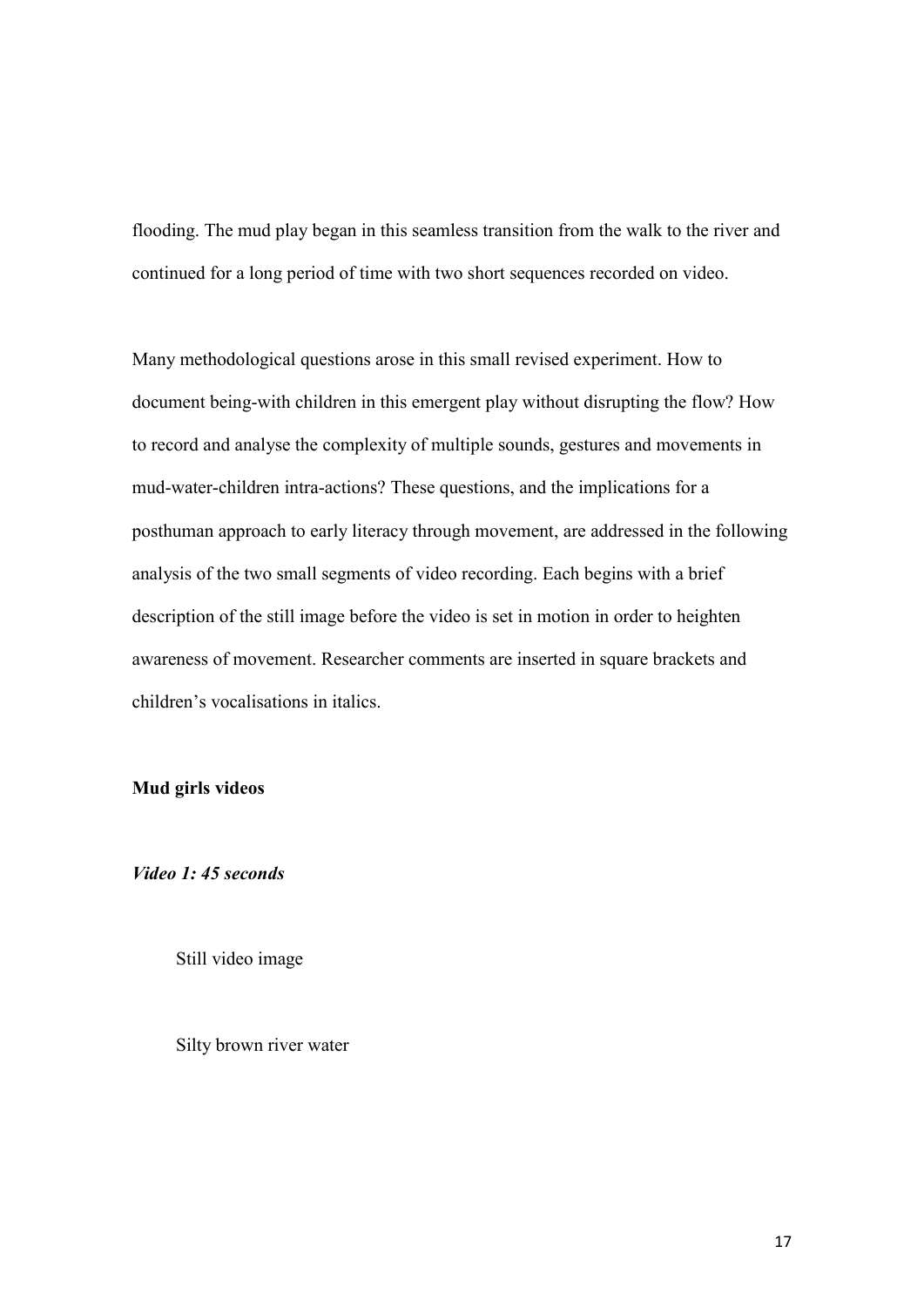flooding. The mud play began in this seamless transition from the walk to the river and continued for a long period of time with two short sequences recorded on video.

Many methodological questions arose in this small revised experiment. How to document being-with children in this emergent play without disrupting the flow? How to record and analyse the complexity of multiple sounds, gestures and movements in mud-water-children intra-actions? These questions, and the implications for a posthuman approach to early literacy through movement, are addressed in the following analysis of the two small segments of video recording. Each begins with a brief description of the still image before the video is set in motion in order to heighten awareness of movement. Researcher comments are inserted in square brackets and children's vocalisations in italics.

## **Mud girls videos**

*Video 1: 45 seconds*

Still video image

Silty brown river water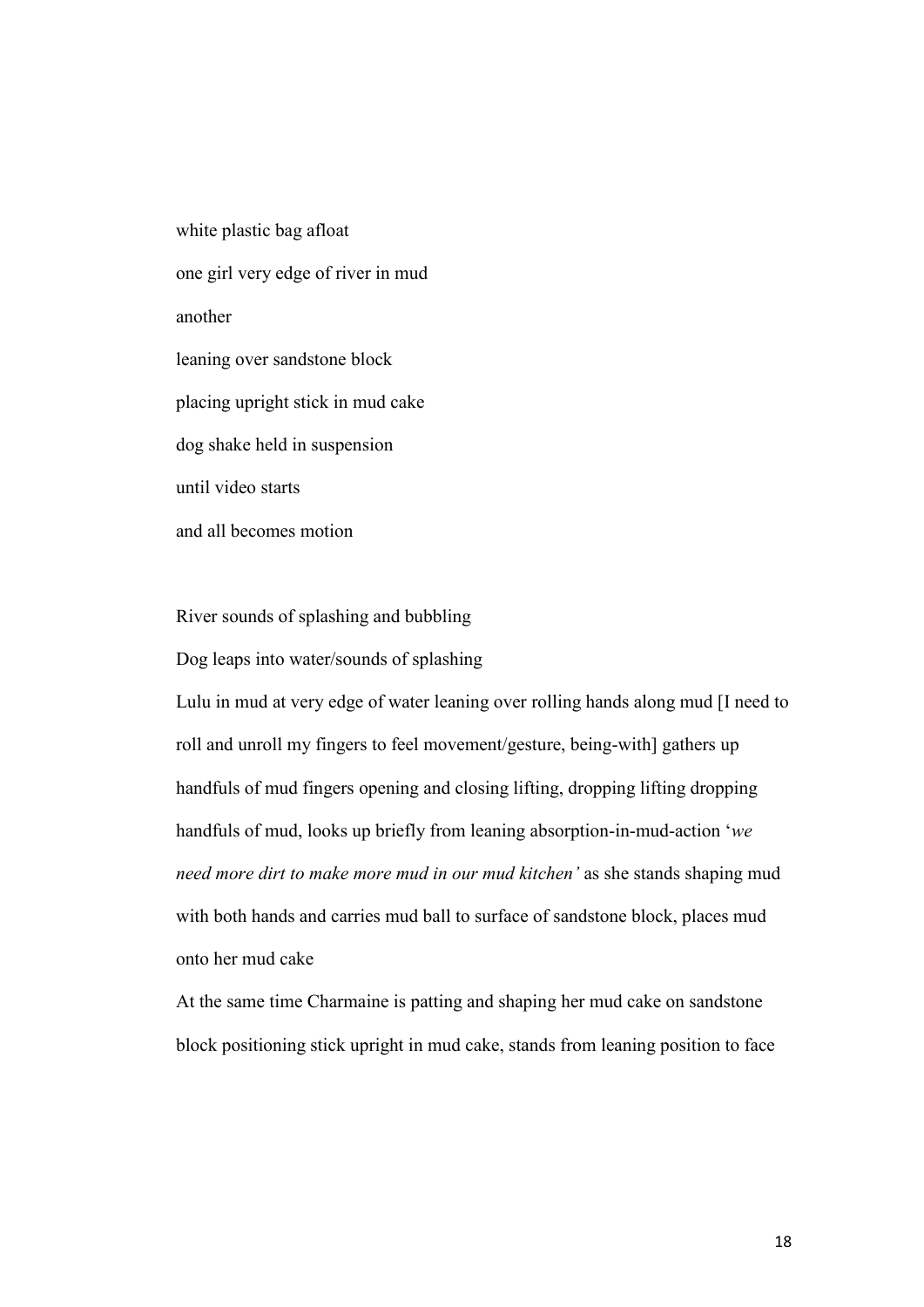white plastic bag afloat one girl very edge of river in mud another leaning over sandstone block placing upright stick in mud cake dog shake held in suspension until video starts and all becomes motion

River sounds of splashing and bubbling

Dog leaps into water/sounds of splashing

Lulu in mud at very edge of water leaning over rolling hands along mud [I need to roll and unroll my fingers to feel movement/gesture, being-with] gathers up handfuls of mud fingers opening and closing lifting, dropping lifting dropping handfuls of mud, looks up briefly from leaning absorption-in-mud-action '*we need more dirt to make more mud in our mud kitchen'* as she stands shaping mud with both hands and carries mud ball to surface of sandstone block, places mud onto her mud cake

At the same time Charmaine is patting and shaping her mud cake on sandstone block positioning stick upright in mud cake, stands from leaning position to face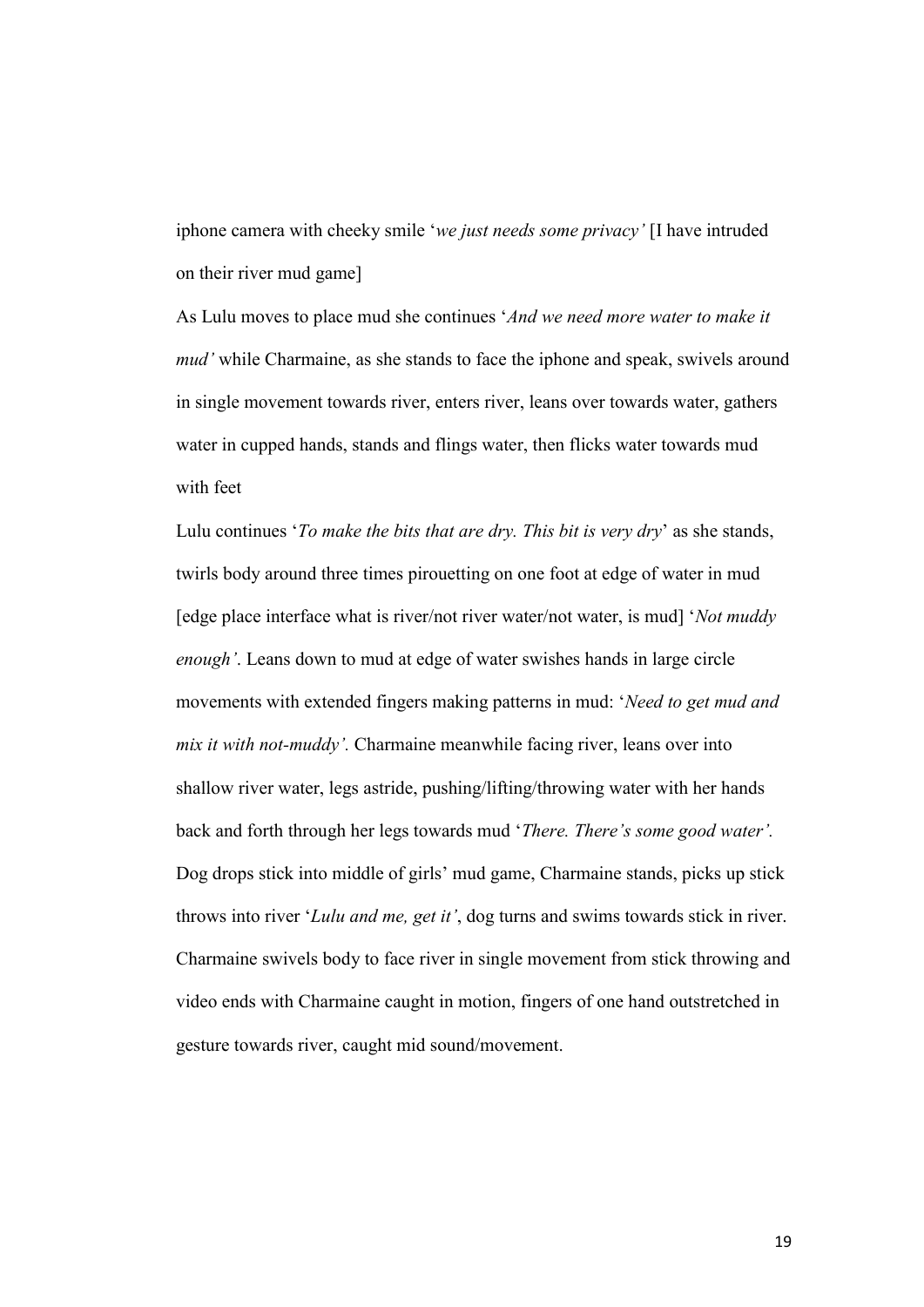iphone camera with cheeky smile '*we just needs some privacy'* [I have intruded on their river mud game]

As Lulu moves to place mud she continues '*And we need more water to make it mud'* while Charmaine, as she stands to face the iphone and speak, swivels around in single movement towards river, enters river, leans over towards water, gathers water in cupped hands, stands and flings water, then flicks water towards mud with feet

Lulu continues '*To make the bits that are dry. This bit is very dry*' as she stands, twirls body around three times pirouetting on one foot at edge of water in mud [edge place interface what is river/not river water/not water, is mud] '*Not muddy enough'*. Leans down to mud at edge of water swishes hands in large circle movements with extended fingers making patterns in mud: '*Need to get mud and mix it with not-muddy'.* Charmaine meanwhile facing river, leans over into shallow river water, legs astride, pushing/lifting/throwing water with her hands back and forth through her legs towards mud '*There. There's some good water'.* Dog drops stick into middle of girls' mud game, Charmaine stands, picks up stick throws into river '*Lulu and me, get it'*, dog turns and swims towards stick in river. Charmaine swivels body to face river in single movement from stick throwing and video ends with Charmaine caught in motion, fingers of one hand outstretched in gesture towards river, caught mid sound/movement.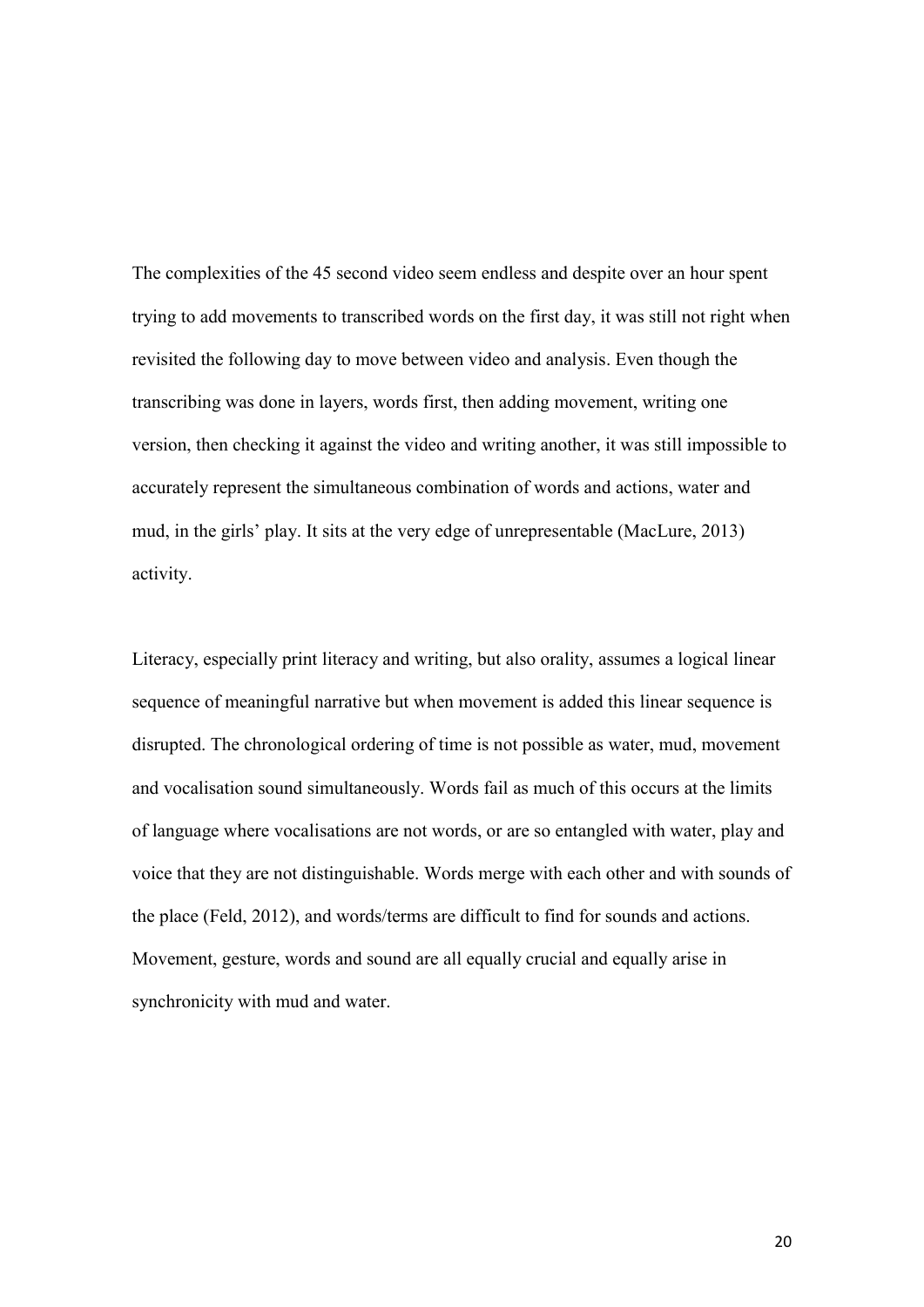The complexities of the 45 second video seem endless and despite over an hour spent trying to add movements to transcribed words on the first day, it was still not right when revisited the following day to move between video and analysis. Even though the transcribing was done in layers, words first, then adding movement, writing one version, then checking it against the video and writing another, it was still impossible to accurately represent the simultaneous combination of words and actions, water and mud, in the girls' play. It sits at the very edge of unrepresentable (MacLure, 2013) activity.

Literacy, especially print literacy and writing, but also orality, assumes a logical linear sequence of meaningful narrative but when movement is added this linear sequence is disrupted. The chronological ordering of time is not possible as water, mud, movement and vocalisation sound simultaneously. Words fail as much of this occurs at the limits of language where vocalisations are not words, or are so entangled with water, play and voice that they are not distinguishable. Words merge with each other and with sounds of the place (Feld, 2012), and words/terms are difficult to find for sounds and actions. Movement, gesture, words and sound are all equally crucial and equally arise in synchronicity with mud and water.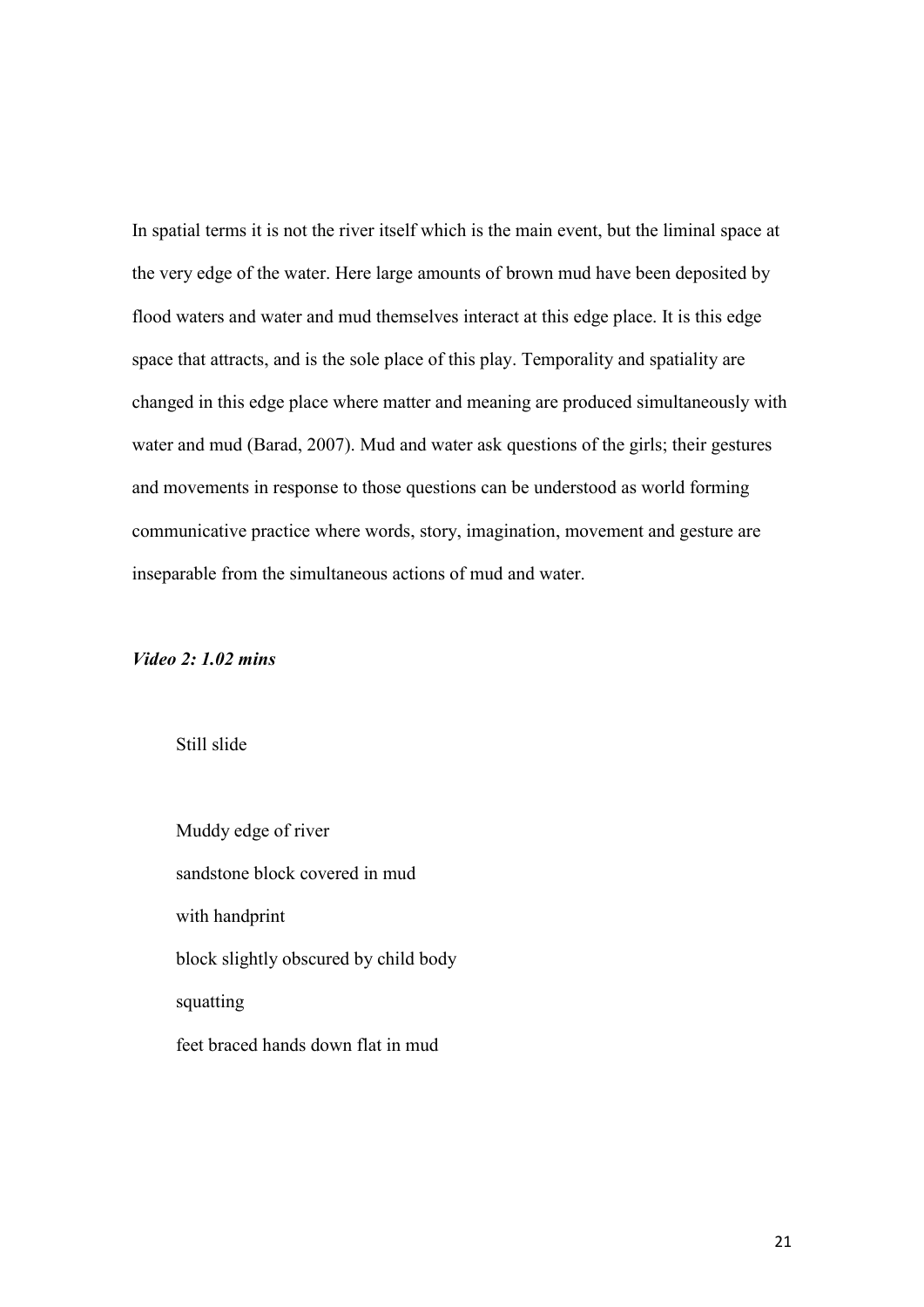In spatial terms it is not the river itself which is the main event, but the liminal space at the very edge of the water. Here large amounts of brown mud have been deposited by flood waters and water and mud themselves interact at this edge place. It is this edge space that attracts, and is the sole place of this play. Temporality and spatiality are changed in this edge place where matter and meaning are produced simultaneously with water and mud (Barad, 2007). Mud and water ask questions of the girls; their gestures and movements in response to those questions can be understood as world forming communicative practice where words, story, imagination, movement and gesture are inseparable from the simultaneous actions of mud and water.

## *Video 2: 1.02 mins*

Still slide

Muddy edge of river sandstone block covered in mud with handprint block slightly obscured by child body squatting

feet braced hands down flat in mud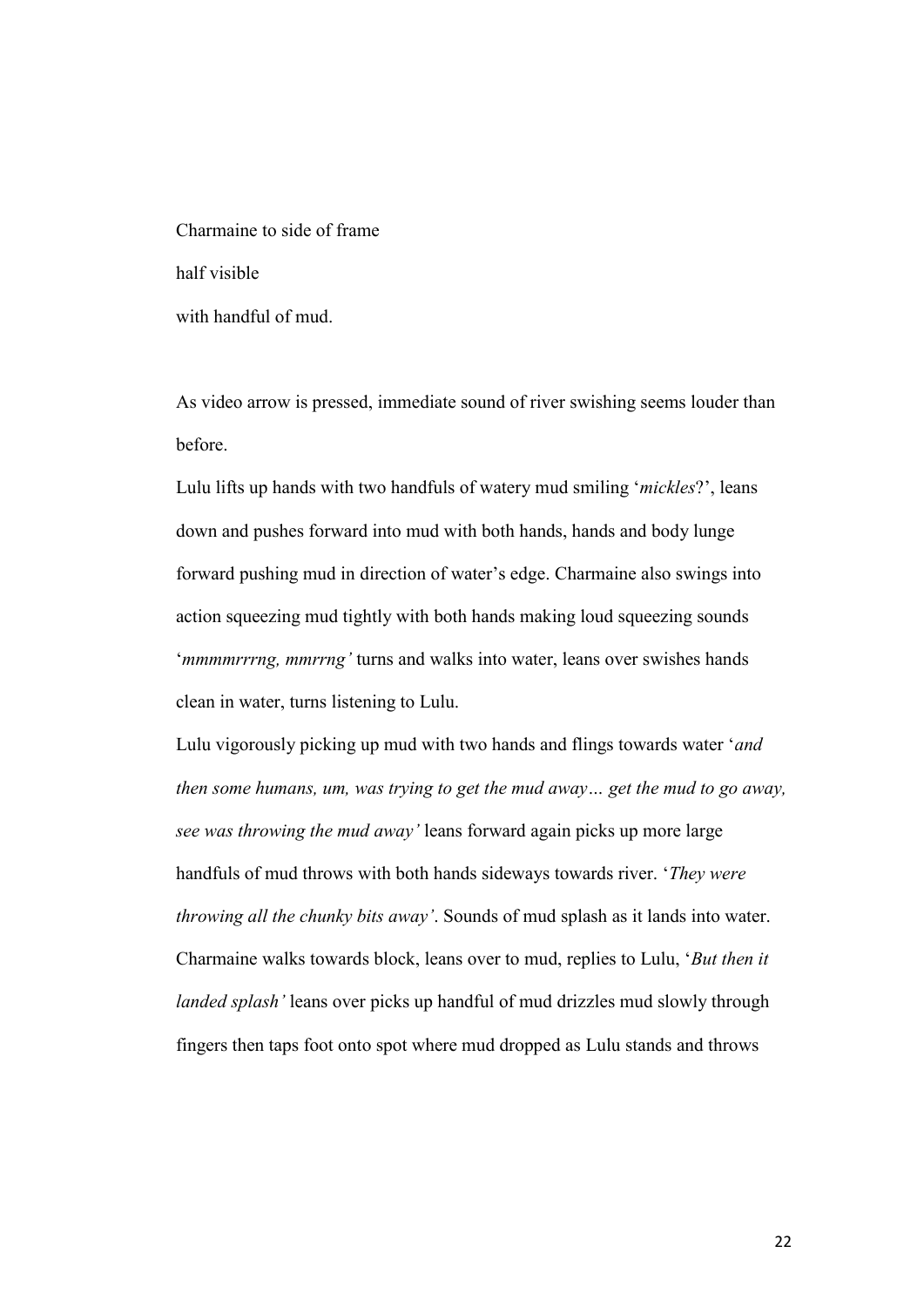Charmaine to side of frame half visible with handful of mud.

As video arrow is pressed, immediate sound of river swishing seems louder than before.

Lulu lifts up hands with two handfuls of watery mud smiling '*mickles*?', leans down and pushes forward into mud with both hands, hands and body lunge forward pushing mud in direction of water's edge. Charmaine also swings into action squeezing mud tightly with both hands making loud squeezing sounds '*mmmmrrrng, mmrrng'* turns and walks into water, leans over swishes hands clean in water, turns listening to Lulu.

Lulu vigorously picking up mud with two hands and flings towards water '*and then some humans, um, was trying to get the mud away… get the mud to go away, see was throwing the mud away'* leans forward again picks up more large handfuls of mud throws with both hands sideways towards river. '*They were throwing all the chunky bits away'*. Sounds of mud splash as it lands into water. Charmaine walks towards block, leans over to mud, replies to Lulu, '*But then it landed splash'* leans over picks up handful of mud drizzles mud slowly through fingers then taps foot onto spot where mud dropped as Lulu stands and throws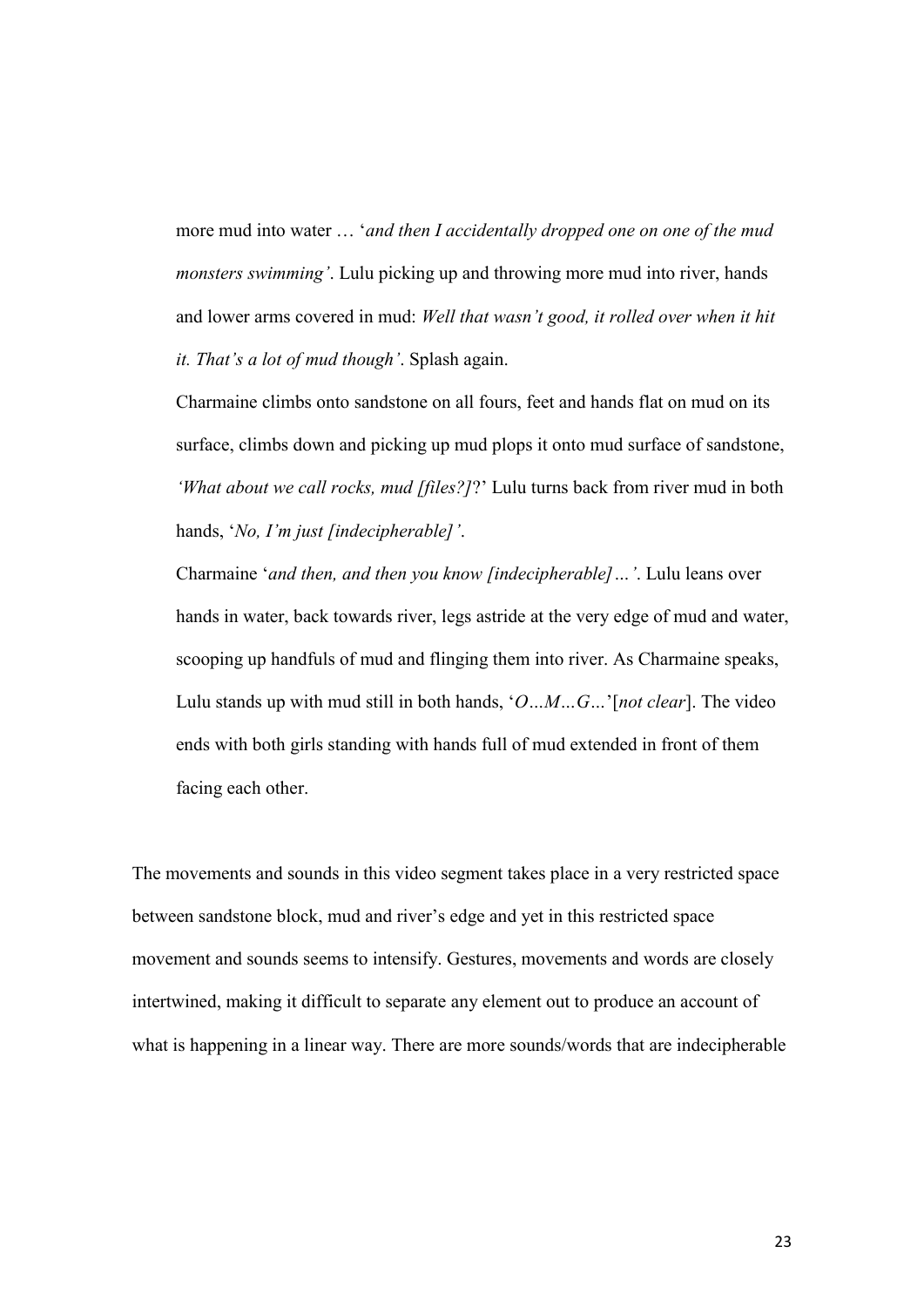more mud into water … '*and then I accidentally dropped one on one of the mud monsters swimming'*. Lulu picking up and throwing more mud into river, hands and lower arms covered in mud: *Well that wasn't good, it rolled over when it hit it. That's a lot of mud though'*. Splash again.

Charmaine climbs onto sandstone on all fours, feet and hands flat on mud on its surface, climbs down and picking up mud plops it onto mud surface of sandstone, *'What about we call rocks, mud [files?]*?' Lulu turns back from river mud in both hands, '*No, I'm just [indecipherable]'*.

Charmaine '*and then, and then you know [indecipherable]…'*. Lulu leans over hands in water, back towards river, legs astride at the very edge of mud and water, scooping up handfuls of mud and flinging them into river. As Charmaine speaks, Lulu stands up with mud still in both hands, '*O…M…G…*'[*not clear*]. The video ends with both girls standing with hands full of mud extended in front of them facing each other.

The movements and sounds in this video segment takes place in a very restricted space between sandstone block, mud and river's edge and yet in this restricted space movement and sounds seems to intensify. Gestures, movements and words are closely intertwined, making it difficult to separate any element out to produce an account of what is happening in a linear way. There are more sounds/words that are indecipherable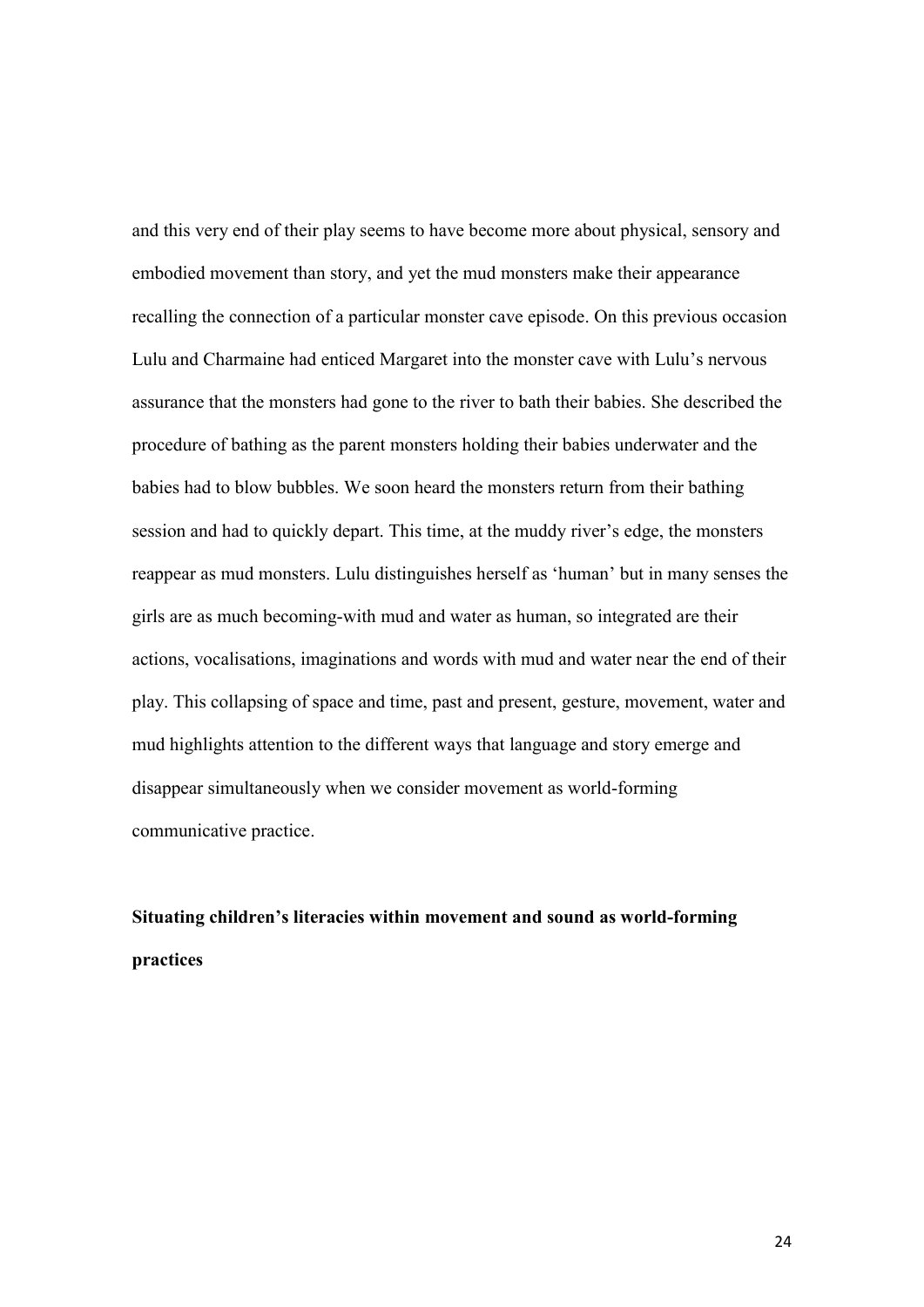and this very end of their play seems to have become more about physical, sensory and embodied movement than story, and yet the mud monsters make their appearance recalling the connection of a particular monster cave episode. On this previous occasion Lulu and Charmaine had enticed Margaret into the monster cave with Lulu's nervous assurance that the monsters had gone to the river to bath their babies. She described the procedure of bathing as the parent monsters holding their babies underwater and the babies had to blow bubbles. We soon heard the monsters return from their bathing session and had to quickly depart. This time, at the muddy river's edge, the monsters reappear as mud monsters. Lulu distinguishes herself as 'human' but in many senses the girls are as much becoming-with mud and water as human, so integrated are their actions, vocalisations, imaginations and words with mud and water near the end of their play. This collapsing of space and time, past and present, gesture, movement, water and mud highlights attention to the different ways that language and story emerge and disappear simultaneously when we consider movement as world-forming communicative practice.

# **Situating children's literacies within movement and sound as world-forming practices**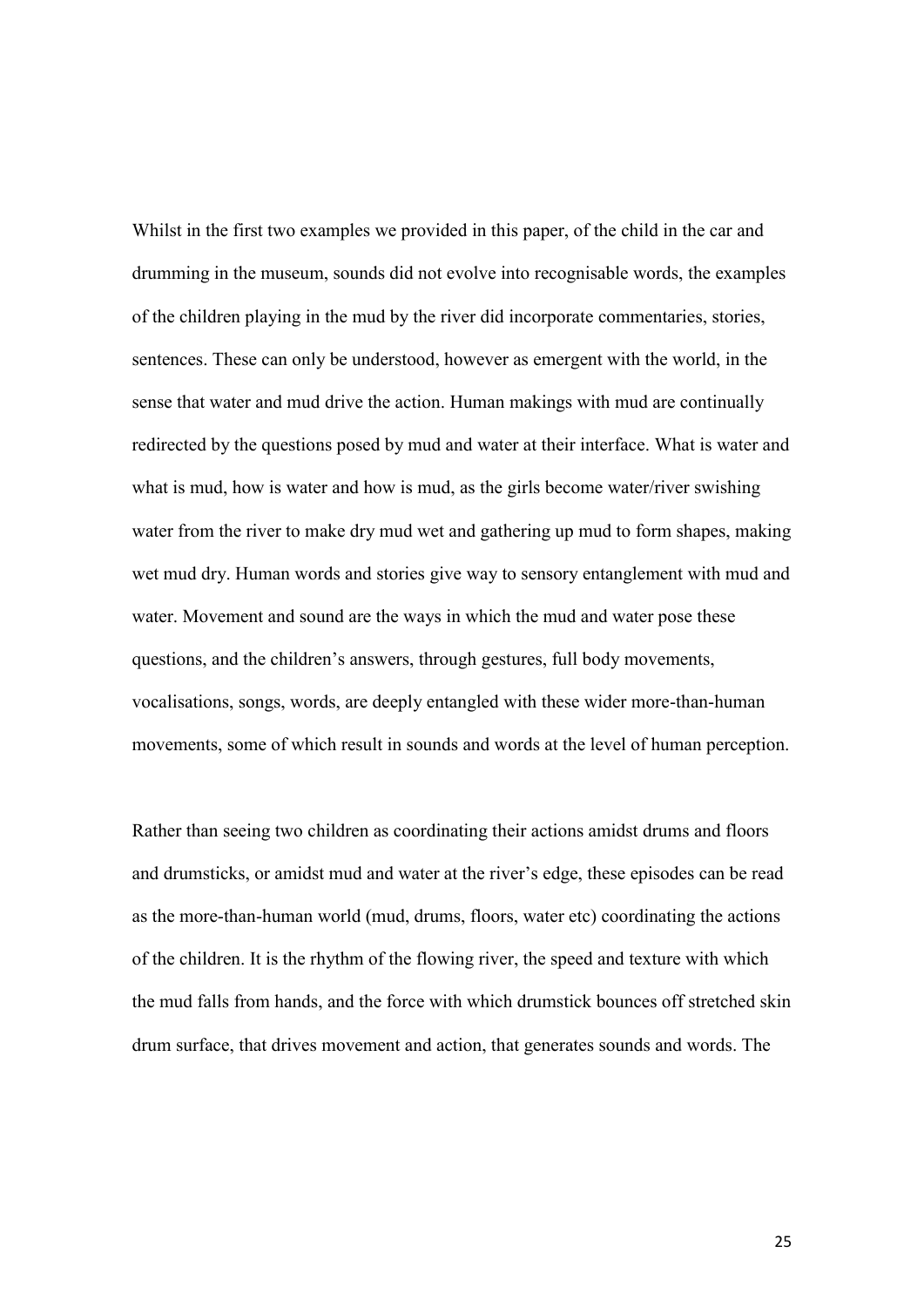Whilst in the first two examples we provided in this paper, of the child in the car and drumming in the museum, sounds did not evolve into recognisable words, the examples of the children playing in the mud by the river did incorporate commentaries, stories, sentences. These can only be understood, however as emergent with the world, in the sense that water and mud drive the action. Human makings with mud are continually redirected by the questions posed by mud and water at their interface. What is water and what is mud, how is water and how is mud, as the girls become water/river swishing water from the river to make dry mud wet and gathering up mud to form shapes, making wet mud dry. Human words and stories give way to sensory entanglement with mud and water. Movement and sound are the ways in which the mud and water pose these questions, and the children's answers, through gestures, full body movements, vocalisations, songs, words, are deeply entangled with these wider more-than-human movements, some of which result in sounds and words at the level of human perception.

Rather than seeing two children as coordinating their actions amidst drums and floors and drumsticks, or amidst mud and water at the river's edge, these episodes can be read as the more-than-human world (mud, drums, floors, water etc) coordinating the actions of the children. It is the rhythm of the flowing river, the speed and texture with which the mud falls from hands, and the force with which drumstick bounces off stretched skin drum surface, that drives movement and action, that generates sounds and words. The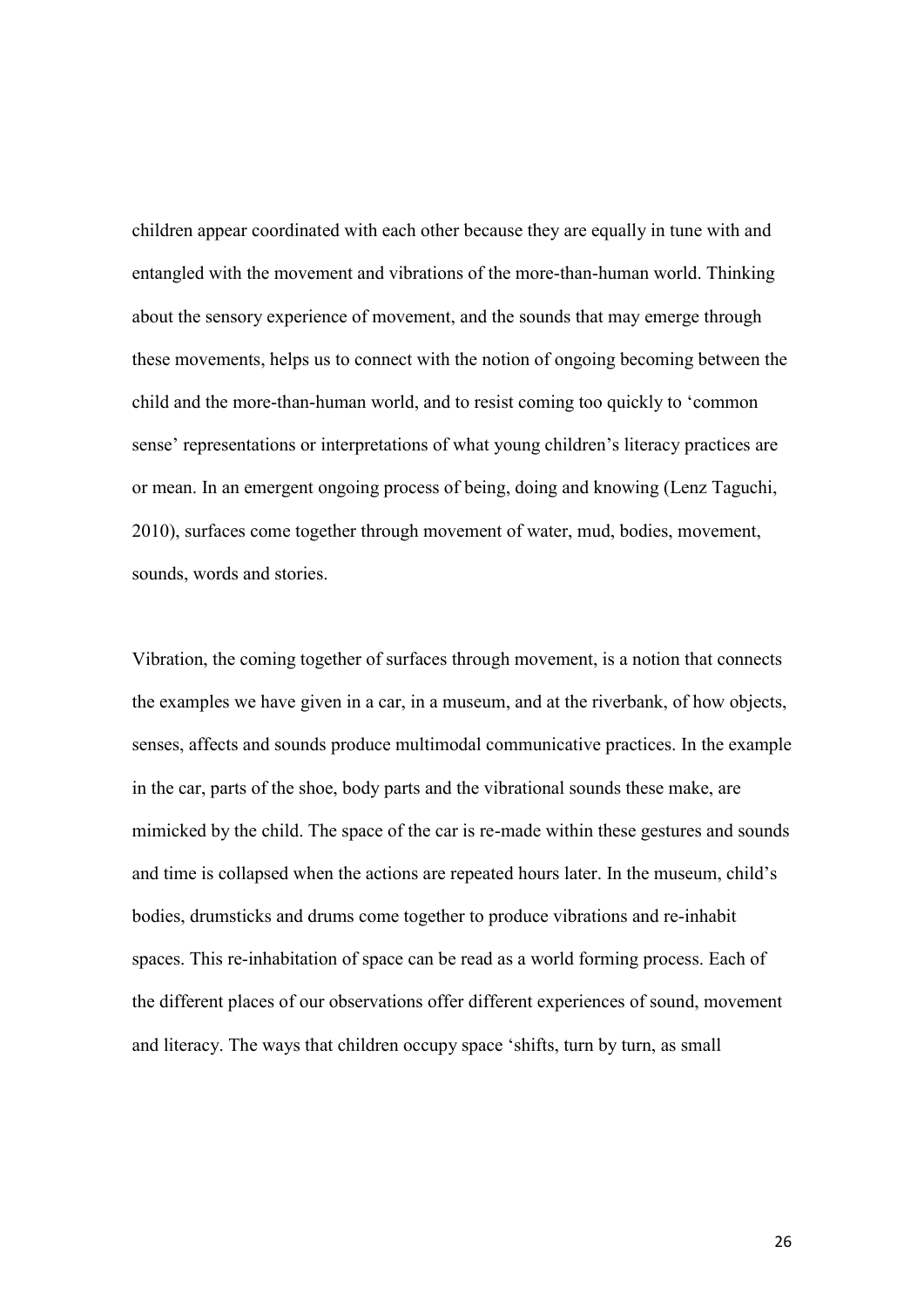children appear coordinated with each other because they are equally in tune with and entangled with the movement and vibrations of the more-than-human world. Thinking about the sensory experience of movement, and the sounds that may emerge through these movements, helps us to connect with the notion of ongoing becoming between the child and the more-than-human world, and to resist coming too quickly to 'common sense' representations or interpretations of what young children's literacy practices are or mean. In an emergent ongoing process of being, doing and knowing (Lenz Taguchi, 2010), surfaces come together through movement of water, mud, bodies, movement, sounds, words and stories.

Vibration, the coming together of surfaces through movement, is a notion that connects the examples we have given in a car, in a museum, and at the riverbank, of how objects, senses, affects and sounds produce multimodal communicative practices. In the example in the car, parts of the shoe, body parts and the vibrational sounds these make, are mimicked by the child. The space of the car is re-made within these gestures and sounds and time is collapsed when the actions are repeated hours later. In the museum, child's bodies, drumsticks and drums come together to produce vibrations and re-inhabit spaces. This re-inhabitation of space can be read as a world forming process. Each of the different places of our observations offer different experiences of sound, movement and literacy. The ways that children occupy space 'shifts, turn by turn, as small

26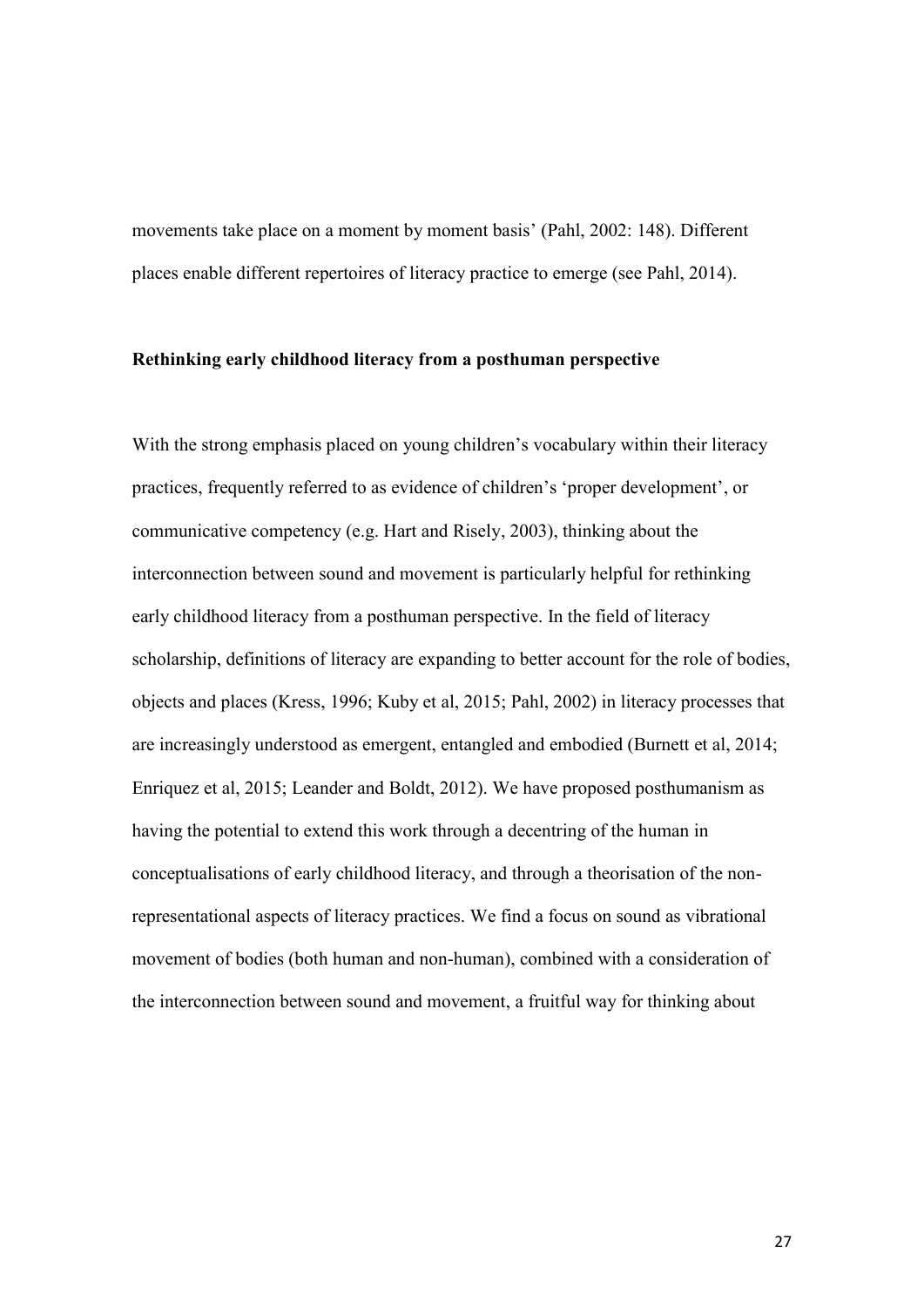movements take place on a moment by moment basis' (Pahl, 2002: 148). Different places enable different repertoires of literacy practice to emerge (see Pahl, 2014).

## **Rethinking early childhood literacy from a posthuman perspective**

With the strong emphasis placed on young children's vocabulary within their literacy practices, frequently referred to as evidence of children's 'proper development', or communicative competency (e.g. Hart and Risely, 2003), thinking about the interconnection between sound and movement is particularly helpful for rethinking early childhood literacy from a posthuman perspective. In the field of literacy scholarship, definitions of literacy are expanding to better account for the role of bodies, objects and places (Kress, 1996; Kuby et al, 2015; Pahl, 2002) in literacy processes that are increasingly understood as emergent, entangled and embodied (Burnett et al, 2014; Enriquez et al, 2015; Leander and Boldt, 2012). We have proposed posthumanism as having the potential to extend this work through a decentring of the human in conceptualisations of early childhood literacy, and through a theorisation of the nonrepresentational aspects of literacy practices. We find a focus on sound as vibrational movement of bodies (both human and non-human), combined with a consideration of the interconnection between sound and movement, a fruitful way for thinking about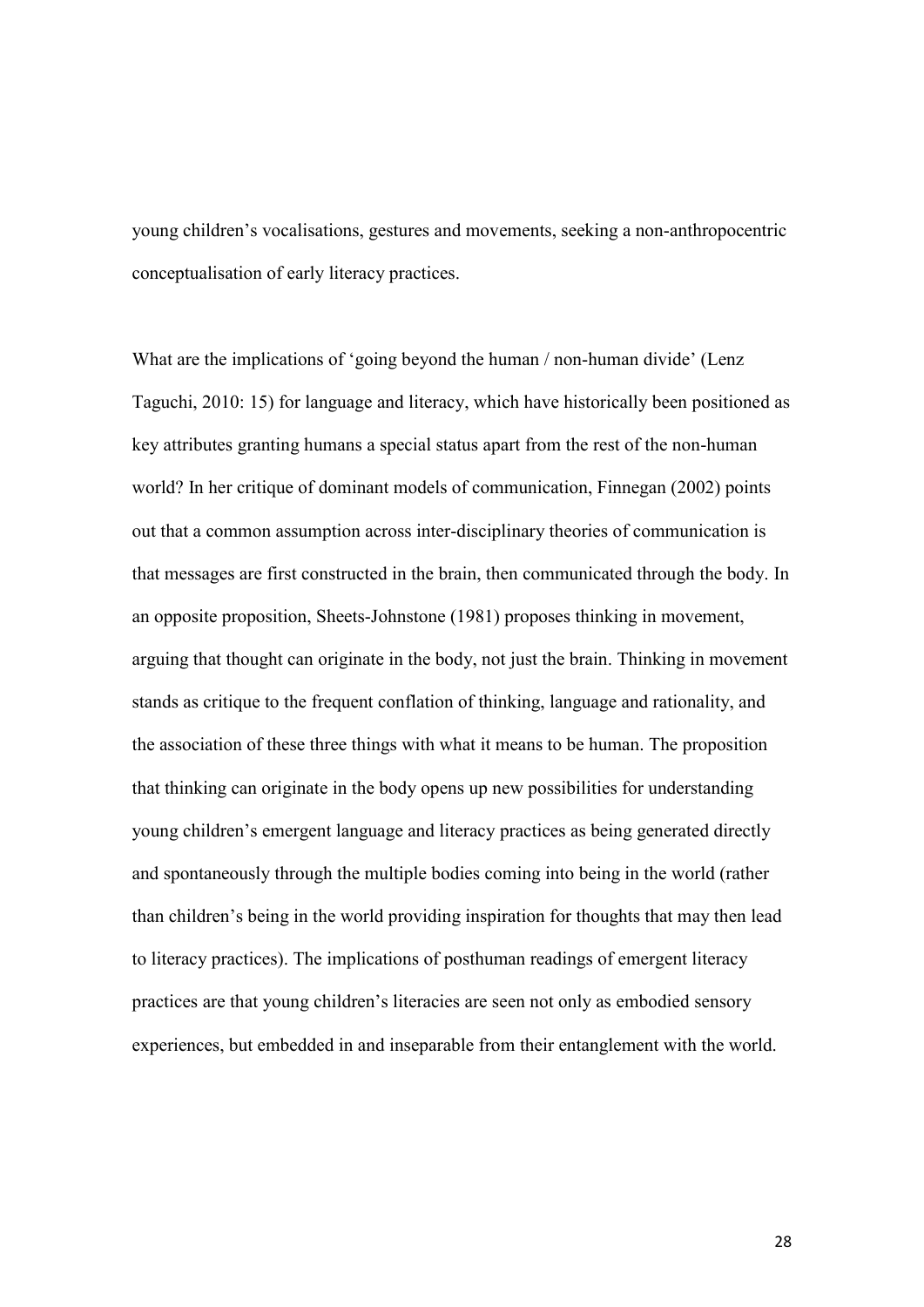young children's vocalisations, gestures and movements, seeking a non-anthropocentric conceptualisation of early literacy practices.

What are the implications of 'going beyond the human / non-human divide' (Lenz Taguchi, 2010: 15) for language and literacy, which have historically been positioned as key attributes granting humans a special status apart from the rest of the non-human world? In her critique of dominant models of communication, Finnegan (2002) points out that a common assumption across inter-disciplinary theories of communication is that messages are first constructed in the brain, then communicated through the body. In an opposite proposition, Sheets-Johnstone (1981) proposes thinking in movement, arguing that thought can originate in the body, not just the brain. Thinking in movement stands as critique to the frequent conflation of thinking, language and rationality, and the association of these three things with what it means to be human. The proposition that thinking can originate in the body opens up new possibilities for understanding young children's emergent language and literacy practices as being generated directly and spontaneously through the multiple bodies coming into being in the world (rather than children's being in the world providing inspiration for thoughts that may then lead to literacy practices). The implications of posthuman readings of emergent literacy practices are that young children's literacies are seen not only as embodied sensory experiences, but embedded in and inseparable from their entanglement with the world.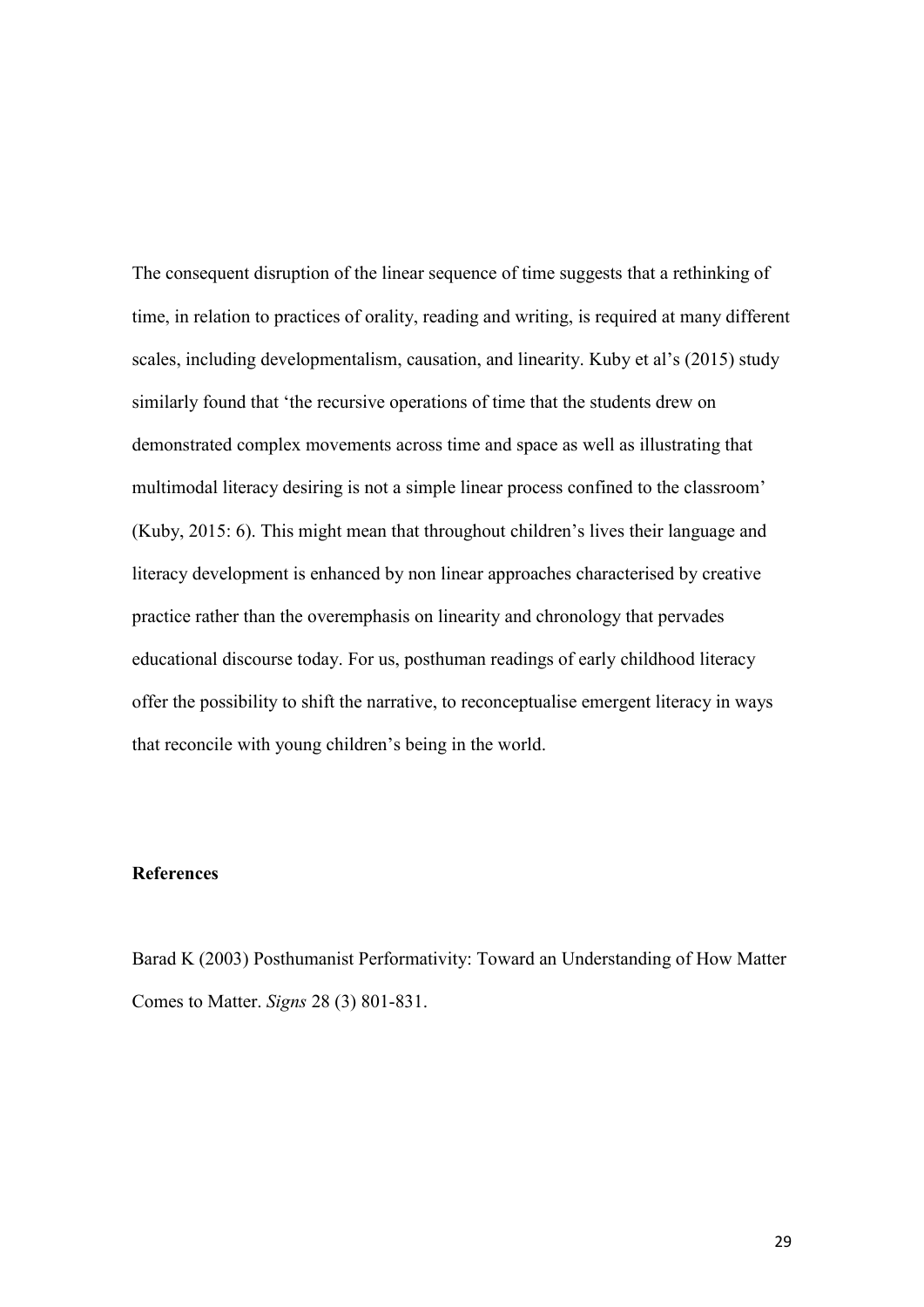The consequent disruption of the linear sequence of time suggests that a rethinking of time, in relation to practices of orality, reading and writing, is required at many different scales, including developmentalism, causation, and linearity. Kuby et al's (2015) study similarly found that 'the recursive operations of time that the students drew on demonstrated complex movements across time and space as well as illustrating that multimodal literacy desiring is not a simple linear process confined to the classroom' (Kuby, 2015: 6). This might mean that throughout children's lives their language and literacy development is enhanced by non linear approaches characterised by creative practice rather than the overemphasis on linearity and chronology that pervades educational discourse today. For us, posthuman readings of early childhood literacy offer the possibility to shift the narrative, to reconceptualise emergent literacy in ways that reconcile with young children's being in the world.

# **References**

Barad K (2003) Posthumanist Performativity: Toward an Understanding of How Matter Comes to Matter. *Signs* 28 (3) 801-831.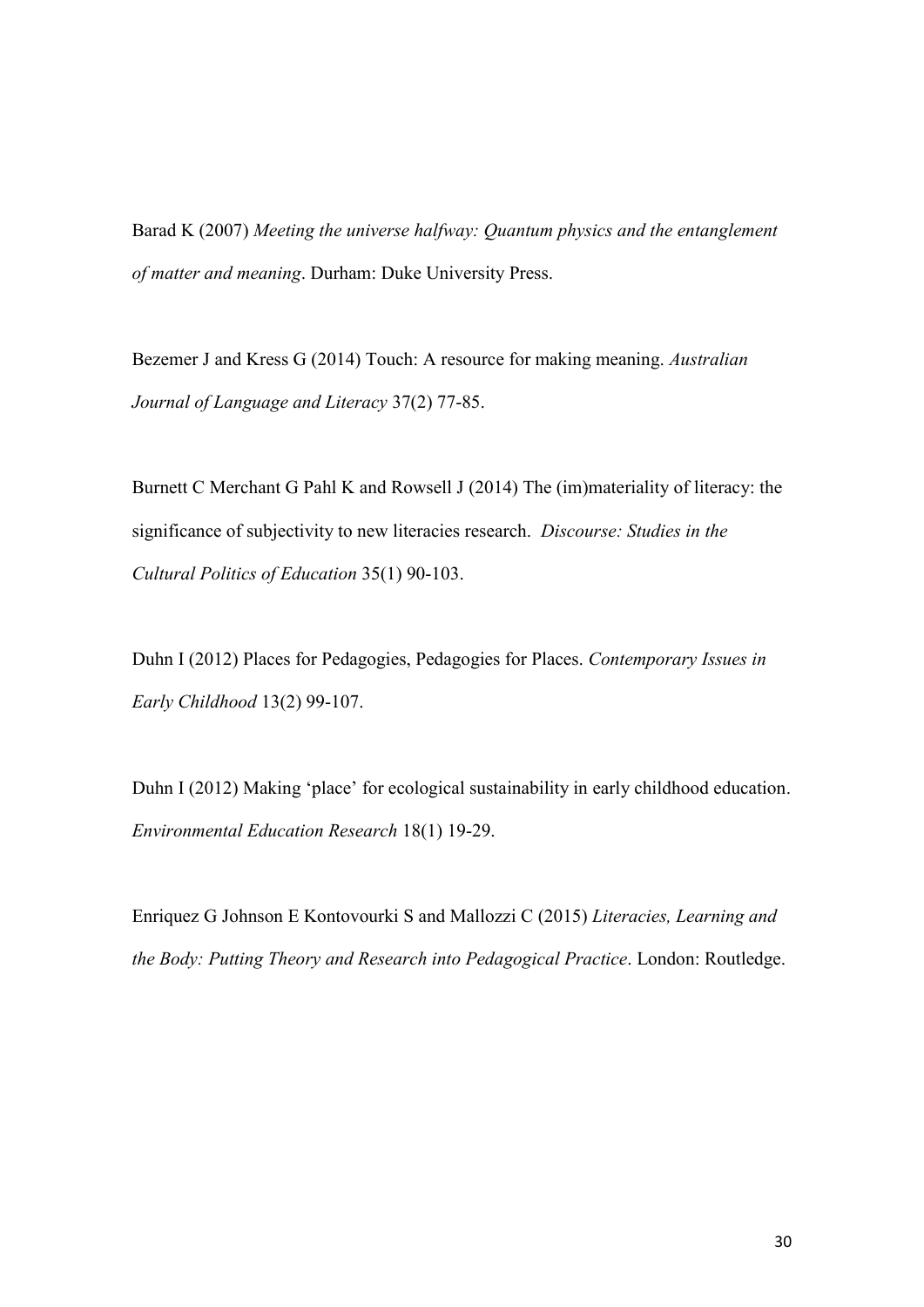Barad K (2007) *Meeting the universe halfway: Quantum physics and the entanglement of matter and meaning*. Durham: Duke University Press.

Bezemer J and Kress G (2014) Touch: A resource for making meaning. *Australian Journal of Language and Literacy* 37(2) 77-85.

Burnett C Merchant G Pahl K and Rowsell J (2014) The (im)materiality of literacy: the significance of subjectivity to new literacies research. *Discourse: Studies in the Cultural Politics of Education* 35(1) 90-103.

Duhn I (2012) Places for Pedagogies, Pedagogies for Places. *Contemporary Issues in Early Childhood* 13(2) 99-107.

Duhn I (2012) Making 'place' for ecological sustainability in early childhood education. *Environmental Education Research* 18(1) 19-29.

Enriquez G Johnson E Kontovourki S and Mallozzi C (2015) *Literacies, Learning and the Body: Putting Theory and Research into Pedagogical Practice*. London: Routledge.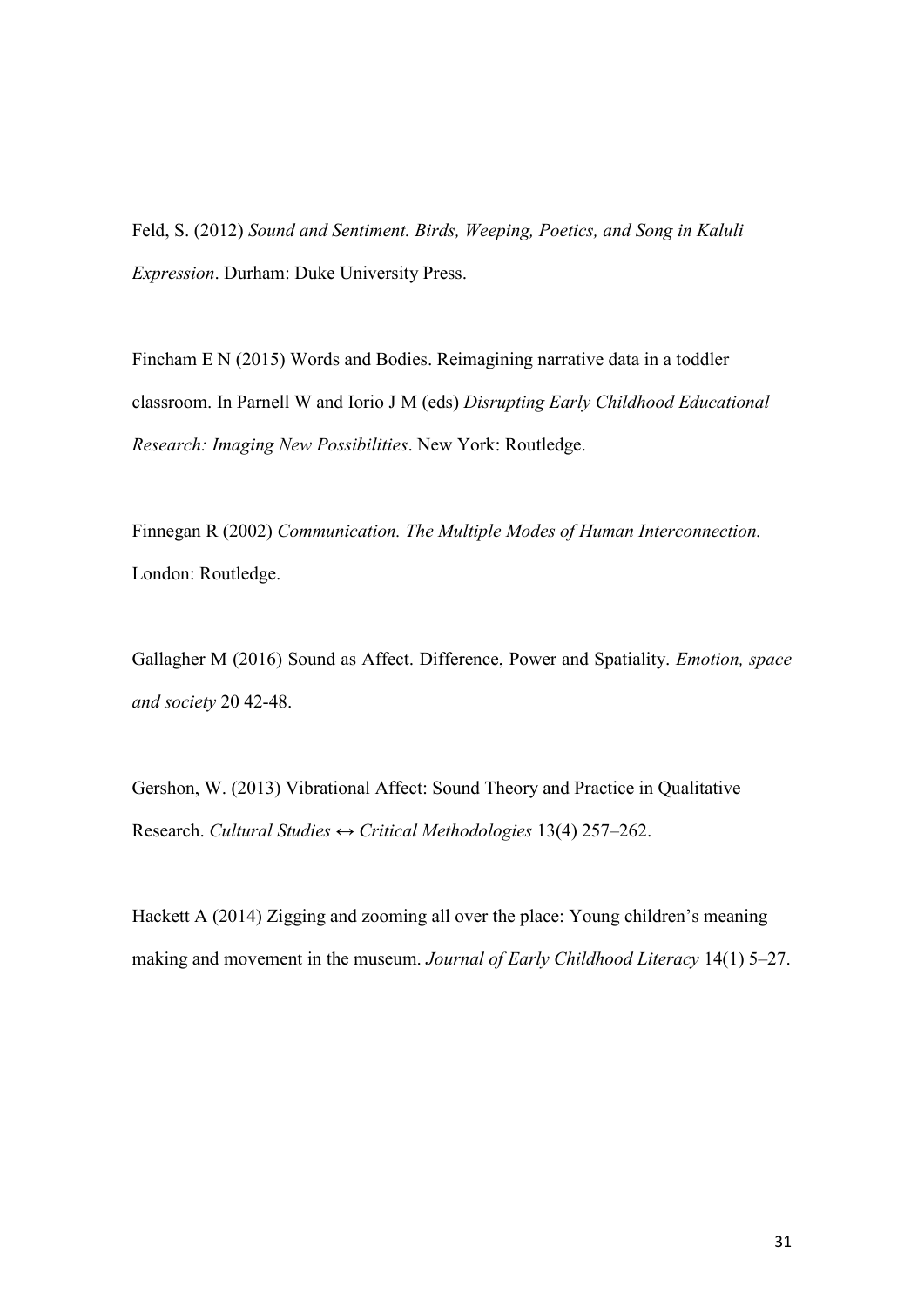Feld, S. (2012) *Sound and Sentiment. Birds, Weeping, Poetics, and Song in Kaluli Expression*. Durham: Duke University Press.

Fincham E N (2015) Words and Bodies. Reimagining narrative data in a toddler classroom. In Parnell W and Iorio J M (eds) *Disrupting Early Childhood Educational Research: Imaging New Possibilities*. New York: Routledge.

Finnegan R (2002) *Communication. The Multiple Modes of Human Interconnection.* London: Routledge.

Gallagher M (2016) Sound as Affect. Difference, Power and Spatiality. *Emotion, space and society* 20 42-48.

Gershon, W. (2013) Vibrational Affect: Sound Theory and Practice in Qualitative Research. *Cultural Studies ↔ Critical Methodologies* 13(4) 257–262.

Hackett A (2014) Zigging and zooming all over the place: Young children's meaning making and movement in the museum. *Journal of Early Childhood Literacy* 14(1) 5–27.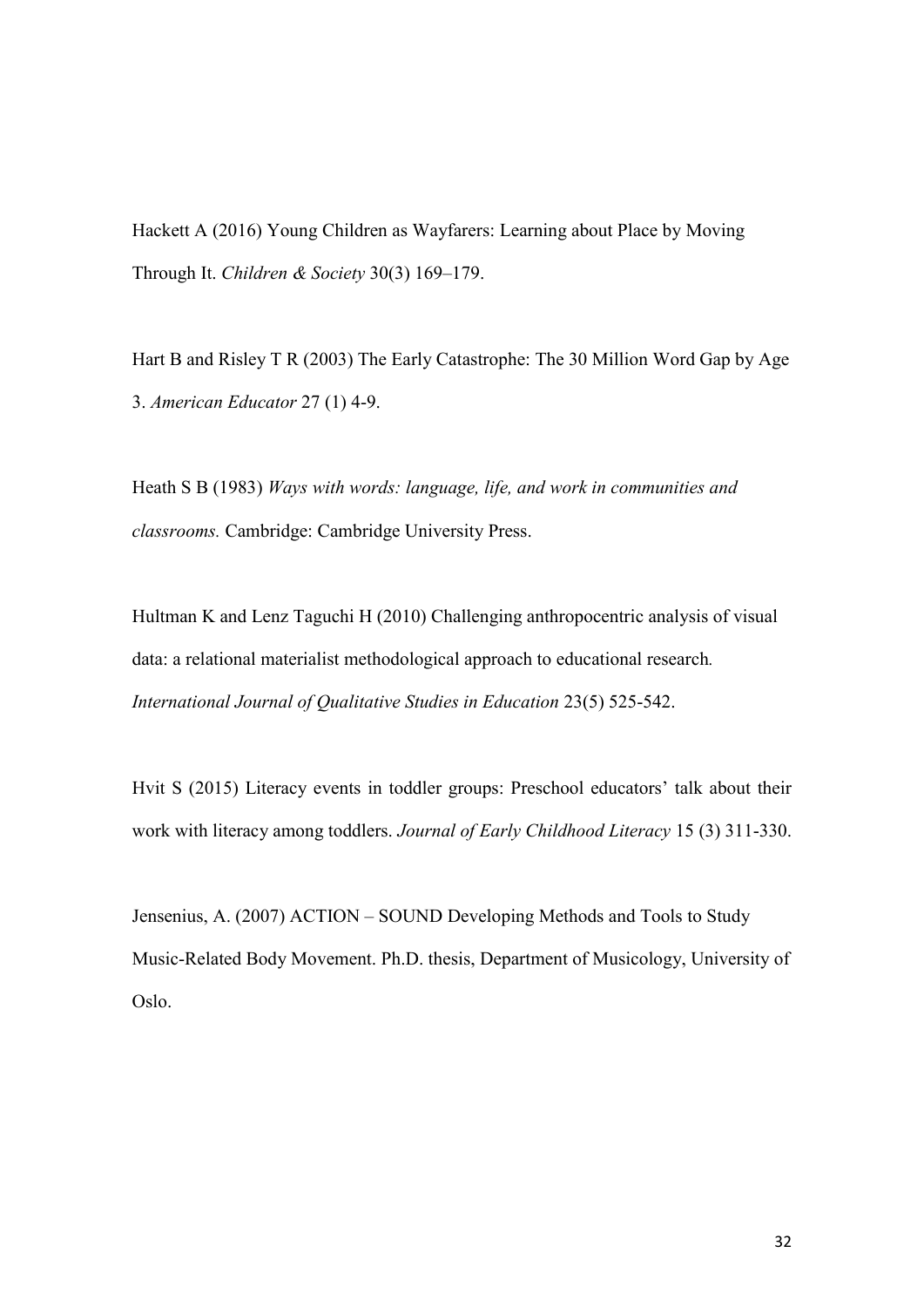Hackett A (2016) Young Children as Wayfarers: Learning about Place by Moving Through It. *Children & Society* 30(3) 169–179.

Hart B and Risley T R (2003) The Early Catastrophe: The 30 Million Word Gap by Age 3. *American Educator* 27 (1) 4-9.

Heath S B (1983) *Ways with words: language, life, and work in communities and classrooms.* Cambridge: Cambridge University Press.

Hultman K and Lenz Taguchi H (2010) Challenging anthropocentric analysis of visual data: a relational materialist methodological approach to educational research*. International Journal of Qualitative Studies in Education* 23(5) 525-542.

Hvit S (2015) Literacy events in toddler groups: Preschool educators' talk about their work with literacy among toddlers. *Journal of Early Childhood Literacy* 15 (3) 311-330.

Jensenius, A. (2007) ACTION – SOUND Developing Methods and Tools to Study Music-Related Body Movement. Ph.D. thesis, Department of Musicology, University of Oslo.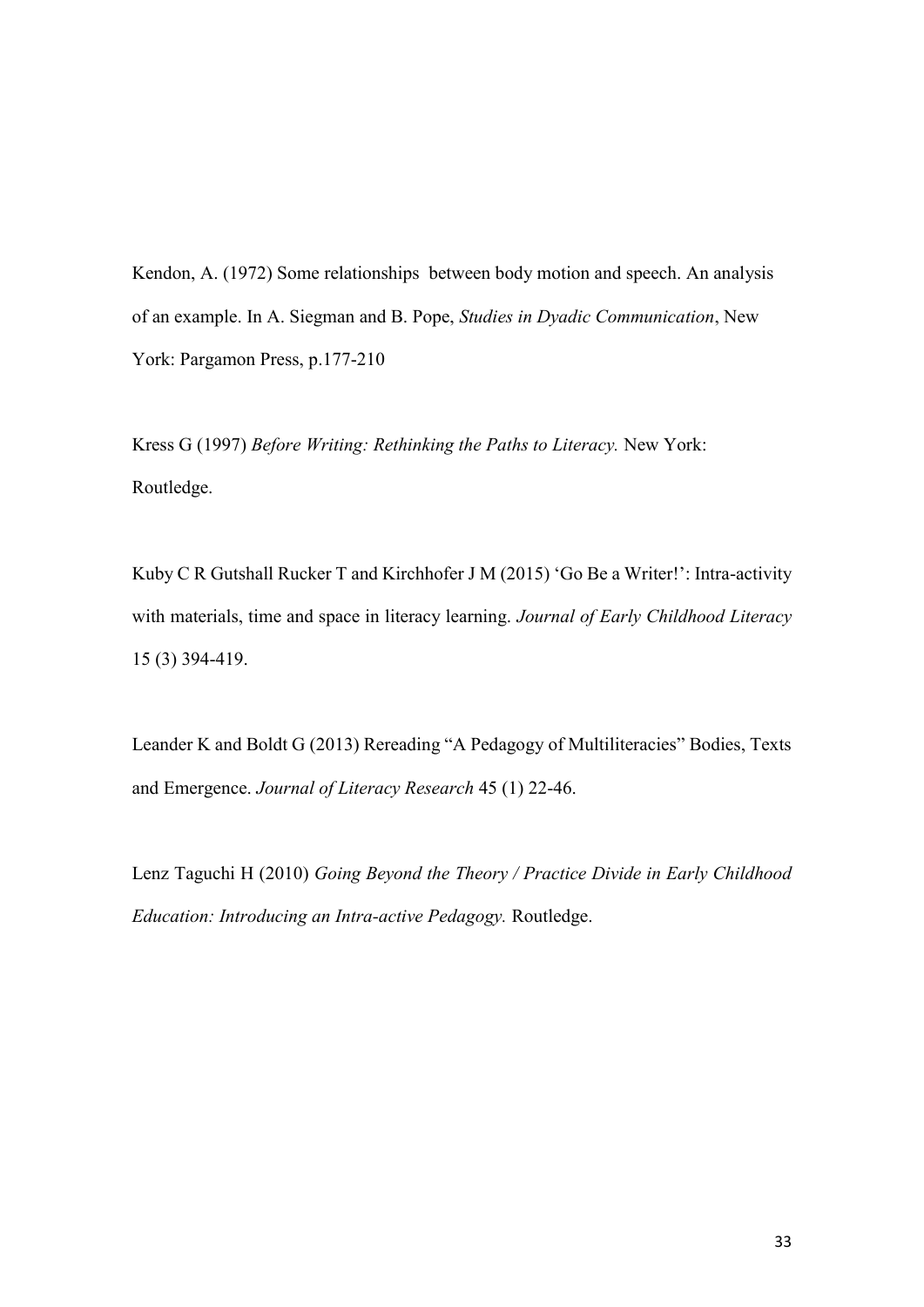Kendon, A. (1972) Some relationships between body motion and speech. An analysis of an example. In A. Siegman and B. Pope, *Studies in Dyadic Communication*, New York: Pargamon Press, p.177-210

Kress G (1997) *Before Writing: Rethinking the Paths to Literacy.* New York: Routledge.

Kuby C R Gutshall Rucker T and Kirchhofer J M (2015) 'Go Be a Writer!': Intra-activity with materials, time and space in literacy learning. *Journal of Early Childhood Literacy* 15 (3) 394-419.

Leander K and Boldt G (2013) Rereading "A Pedagogy of Multiliteracies" Bodies, Texts and Emergence. *Journal of Literacy Research* 45 (1) 22-46.

Lenz Taguchi H (2010) *Going Beyond the Theory / Practice Divide in Early Childhood Education: Introducing an Intra-active Pedagogy.* Routledge.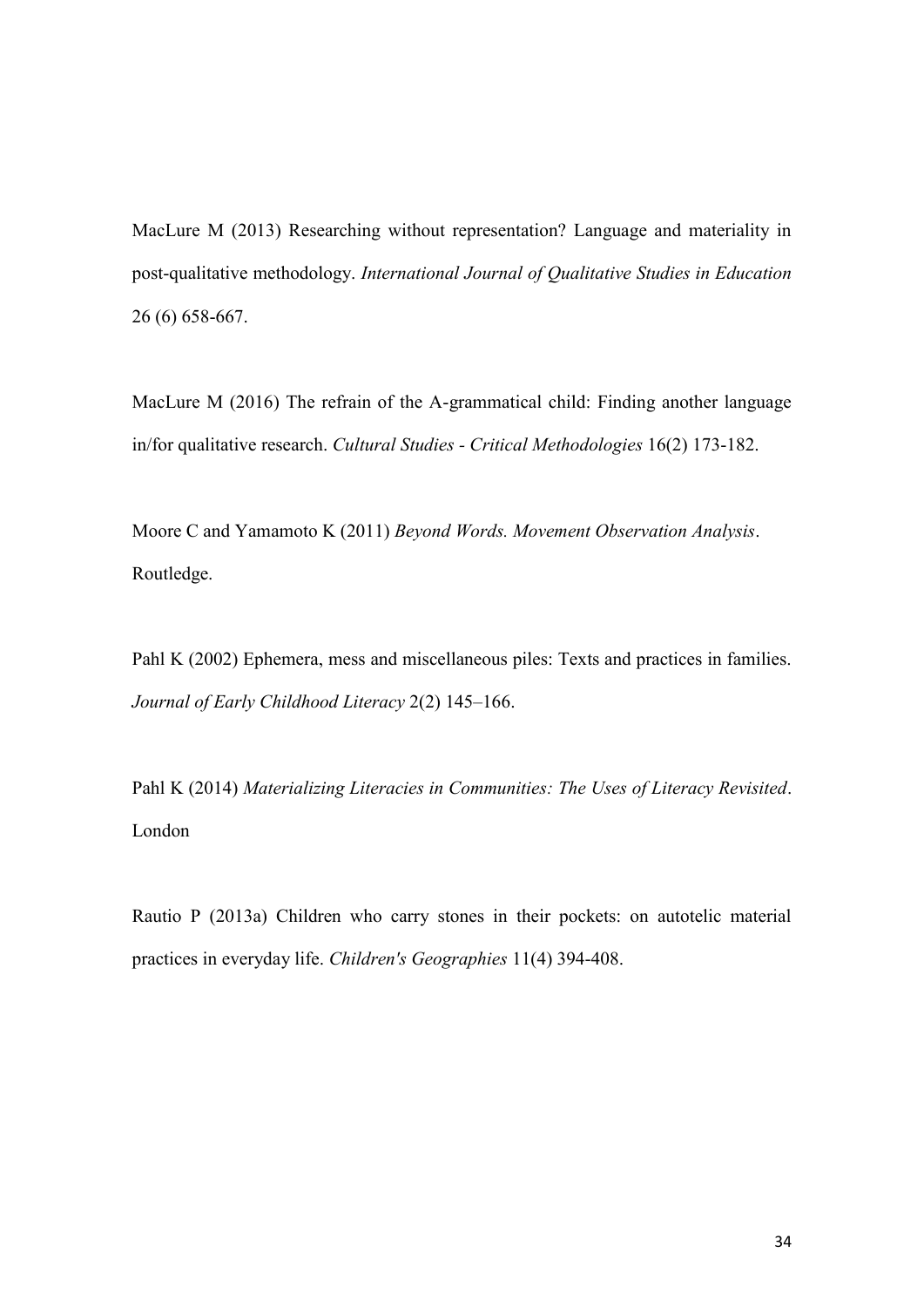MacLure M (2013) Researching without representation? Language and materiality in post-qualitative methodology. *International Journal of Qualitative Studies in Education*  26 (6) 658-667.

MacLure M (2016) [The refrain of the A-grammatical child: Finding another language](http://e-space.mmu.ac.uk/612530/)  [in/for qualitative research.](http://e-space.mmu.ac.uk/612530/) *Cultural Studies - Critical Methodologies* 16(2) 173-182.

Moore C and Yamamoto K (2011) *Beyond Words. Movement Observation Analysis*. Routledge.

Pahl K (2002) Ephemera, mess and miscellaneous piles: Texts and practices in families. *Journal of Early Childhood Literacy* 2(2) 145–166.

Pahl K (2014) *Materializing Literacies in Communities: The Uses of Literacy Revisited*. London

Rautio P (2013a) Children who carry stones in their pockets: on autotelic material practices in everyday life. *Children's Geographies* 11(4) 394-408.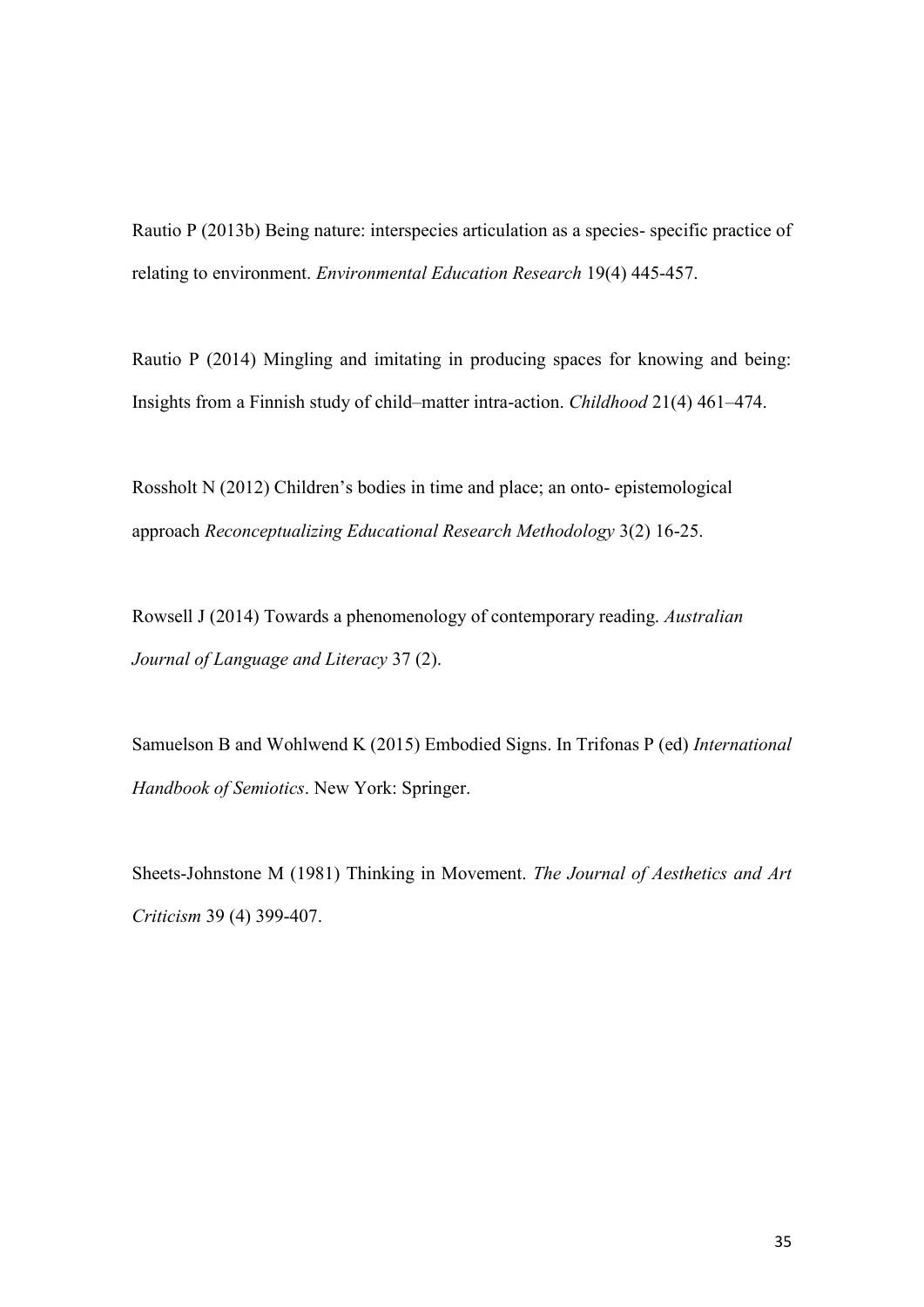Rautio P (2013b) Being nature: interspecies articulation as a species- specific practice of relating to environment. *Environmental Education Research* 19(4) 445-457.

Rautio P (2014) Mingling and imitating in producing spaces for knowing and being: Insights from a Finnish study of child–matter intra-action. *Childhood* 21(4) 461–474.

Rossholt N (2012) Children's bodies in time and place; an onto- epistemological approach *Reconceptualizing Educational Research Methodology* 3(2) 16-25.

Rowsell J (2014) Towards a phenomenology of contemporary reading. *Australian Journal of Language and Literacy* 37 (2).

Samuelson B and Wohlwend K (2015) Embodied Signs. In Trifonas P (ed) *International Handbook of Semiotics*. New York: Springer.

Sheets-Johnstone M (1981) Thinking in Movement. *The Journal of Aesthetics and Art Criticism* 39 (4) 399-407.